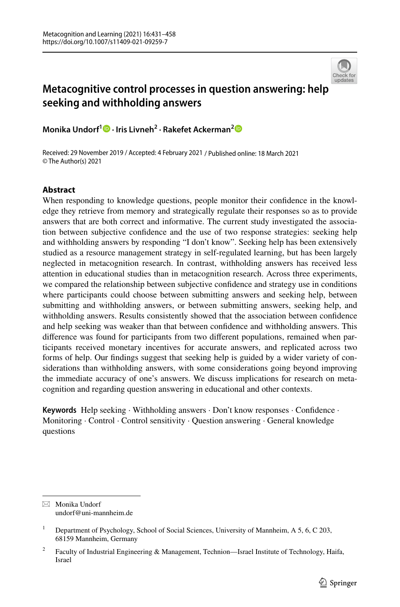

# **Metacognitive control processes in question answering: help seeking and withholding answers**

**Monika Undorf1 · Iris Livneh2 · Rakefet Ackerman[2](http://orcid.org/0000-0001-9583-8014)**

Received: 29 November 2019 / Accepted: 4 February 2021 / Published online: 18 March 2021 © The Author(s) 2021

# **Abstract**

When responding to knowledge questions, people monitor their confdence in the knowledge they retrieve from memory and strategically regulate their responses so as to provide answers that are both correct and informative. The current study investigated the association between subjective confdence and the use of two response strategies: seeking help and withholding answers by responding "I don't know". Seeking help has been extensively studied as a resource management strategy in self-regulated learning, but has been largely neglected in metacognition research. In contrast, withholding answers has received less attention in educational studies than in metacognition research. Across three experiments, we compared the relationship between subjective confdence and strategy use in conditions where participants could choose between submitting answers and seeking help, between submitting and withholding answers, or between submitting answers, seeking help, and withholding answers. Results consistently showed that the association between confdence and help seeking was weaker than that between confdence and withholding answers. This diference was found for participants from two diferent populations, remained when participants received monetary incentives for accurate answers, and replicated across two forms of help. Our fndings suggest that seeking help is guided by a wider variety of considerations than withholding answers, with some considerations going beyond improving the immediate accuracy of one's answers. We discuss implications for research on metacognition and regarding question answering in educational and other contexts.

**Keywords** Help seeking · Withholding answers · Don't know responses · Confdence · Monitoring · Control · Control sensitivity · Question answering · General knowledge questions

 $\boxtimes$  Monika Undorf undorf@uni-mannheim.de

<sup>&</sup>lt;sup>1</sup> Department of Psychology, School of Social Sciences, University of Mannheim, A 5, 6, C 203, 68159 Mannheim, Germany

<sup>&</sup>lt;sup>2</sup> Faculty of Industrial Engineering & Management, Technion—Israel Institute of Technology, Haifa, Israel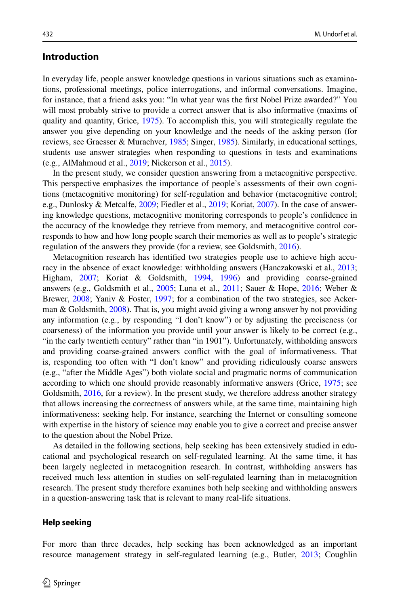# **Introduction**

In everyday life, people answer knowledge questions in various situations such as examinations, professional meetings, police interrogations, and informal conversations. Imagine, for instance, that a friend asks you: "In what year was the frst Nobel Prize awarded?" You will most probably strive to provide a correct answer that is also informative (maxims of quality and quantity, Grice, [1975\)](#page-25-0). To accomplish this, you will strategically regulate the answer you give depending on your knowledge and the needs of the asking person (for reviews, see Graesser & Murachver, [1985](#page-25-1); Singer, [1985](#page-27-0)). Similarly, in educational settings, students use answer strategies when responding to questions in tests and examinations (e.g., AlMahmoud et al., [2019](#page-24-0); Nickerson et al., [2015\)](#page-27-1).

In the present study, we consider question answering from a metacognitive perspective. This perspective emphasizes the importance of people's assessments of their own cognitions (metacognitive monitoring) for self-regulation and behavior (metacognitive control; e.g., Dunlosky & Metcalfe, [2009;](#page-24-1) Fiedler et al., [2019](#page-25-2); Koriat, [2007](#page-25-3)). In the case of answering knowledge questions, metacognitive monitoring corresponds to people's confdence in the accuracy of the knowledge they retrieve from memory, and metacognitive control corresponds to how and how long people search their memories as well as to people's strategic regulation of the answers they provide (for a review, see Goldsmith, [2016\)](#page-25-4).

Metacognition research has identifed two strategies people use to achieve high accuracy in the absence of exact knowledge: withholding answers (Hanczakowski et al., [2013;](#page-25-5) Higham, [2007](#page-25-6); Koriat & Goldsmith, [1994,](#page-25-7) [1996\)](#page-25-8) and providing coarse-grained answers (e.g., Goldsmith et al., [2005;](#page-25-9) Luna et al., [2011;](#page-26-0) Sauer & Hope, [2016](#page-27-2); Weber & Brewer, [2008;](#page-27-3) Yaniv & Foster, [1997;](#page-27-4) for a combination of the two strategies, see Acker-man & Goldsmith, [2008](#page-24-2)). That is, you might avoid giving a wrong answer by not providing any information (e.g., by responding "I don't know") or by adjusting the preciseness (or coarseness) of the information you provide until your answer is likely to be correct (e.g., "in the early twentieth century" rather than "in 1901"). Unfortunately, withholding answers and providing coarse-grained answers confict with the goal of informativeness. That is, responding too often with "I don't know" and providing ridiculously coarse answers (e.g., "after the Middle Ages") both violate social and pragmatic norms of communication according to which one should provide reasonably informative answers (Grice, [1975;](#page-25-0) see Goldsmith, [2016](#page-25-4), for a review). In the present study, we therefore address another strategy that allows increasing the correctness of answers while, at the same time, maintaining high informativeness: seeking help. For instance, searching the Internet or consulting someone with expertise in the history of science may enable you to give a correct and precise answer to the question about the Nobel Prize.

As detailed in the following sections, help seeking has been extensively studied in educational and psychological research on self-regulated learning. At the same time, it has been largely neglected in metacognition research. In contrast, withholding answers has received much less attention in studies on self-regulated learning than in metacognition research. The present study therefore examines both help seeking and withholding answers in a question-answering task that is relevant to many real-life situations.

#### **Help seeking**

For more than three decades, help seeking has been acknowledged as an important resource management strategy in self-regulated learning (e.g., Butler, [2013;](#page-24-3) Coughlin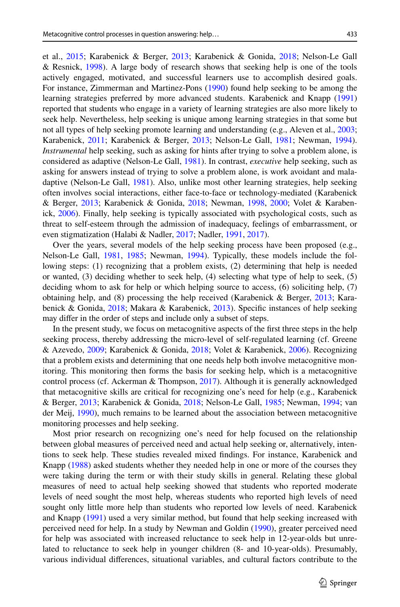et al., [2015;](#page-24-4) Karabenick & Berger, [2013;](#page-25-10) Karabenick & Gonida, [2018;](#page-25-11) Nelson-Le Gall & Resnick, [1998\)](#page-26-1). A large body of research shows that seeking help is one of the tools actively engaged, motivated, and successful learners use to accomplish desired goals. For instance, Zimmerman and Martinez-Pons [\(1990](#page-27-5)) found help seeking to be among the learning strategies preferred by more advanced students. Karabenick and Knapp [\(1991](#page-25-12)) reported that students who engage in a variety of learning strategies are also more likely to seek help. Nevertheless, help seeking is unique among learning strategies in that some but not all types of help seeking promote learning and understanding (e.g., Aleven et al., [2003;](#page-24-5) Karabenick, [2011](#page-25-13); Karabenick & Berger, [2013](#page-25-10); Nelson-Le Gall, [1981;](#page-26-2) Newman, [1994](#page-26-3)). *Instrumental* help seeking, such as asking for hints after trying to solve a problem alone, is considered as adaptive (Nelson-Le Gall, [1981](#page-26-2)). In contrast, *executive* help seeking, such as asking for answers instead of trying to solve a problem alone, is work avoidant and maladaptive (Nelson-Le Gall, [1981\)](#page-26-2). Also, unlike most other learning strategies, help seeking often involves social interactions, either face-to-face or technology-mediated (Karabenick & Berger, [2013](#page-25-10); Karabenick & Gonida, [2018;](#page-25-11) Newman, [1998,](#page-26-4) [2000;](#page-26-5) Volet & Karabenick, [2006\)](#page-27-6). Finally, help seeking is typically associated with psychological costs, such as threat to self-esteem through the admission of inadequacy, feelings of embarrassment, or even stigmatization (Halabi & Nadler, [2017;](#page-25-14) Nadler, [1991,](#page-26-6) [2017\)](#page-26-7).

Over the years, several models of the help seeking process have been proposed (e.g., Nelson-Le Gall, [1981,](#page-26-2) [1985](#page-26-8); Newman, [1994\)](#page-26-3). Typically, these models include the following steps: (1) recognizing that a problem exists, (2) determining that help is needed or wanted, (3) deciding whether to seek help, (4) selecting what type of help to seek, (5) deciding whom to ask for help or which helping source to access, (6) soliciting help, (7) obtaining help, and (8) processing the help received (Karabenick & Berger, [2013;](#page-25-10) Karabenick & Gonida, [2018;](#page-25-11) Makara & Karabenick, [2013](#page-26-9)). Specifc instances of help seeking may difer in the order of steps and include only a subset of steps.

In the present study, we focus on metacognitive aspects of the frst three steps in the help seeking process, thereby addressing the micro-level of self-regulated learning (cf. Greene & Azevedo, [2009;](#page-25-15) Karabenick & Gonida, [2018](#page-25-11); Volet & Karabenick, [2006](#page-27-6)). Recognizing that a problem exists and determining that one needs help both involve metacognitive monitoring. This monitoring then forms the basis for seeking help, which is a metacognitive control process (cf. Ackerman & Thompson, [2017](#page-24-6)). Although it is generally acknowledged that metacognitive skills are critical for recognizing one's need for help (e.g., Karabenick & Berger, [2013;](#page-25-10) Karabenick & Gonida, [2018;](#page-25-11) Nelson-Le Gall, [1985;](#page-26-8) Newman, [1994;](#page-26-3) van der Meij, [1990\)](#page-27-7), much remains to be learned about the association between metacognitive monitoring processes and help seeking.

Most prior research on recognizing one's need for help focused on the relationship between global measures of perceived need and actual help seeking or, alternatively, intentions to seek help. These studies revealed mixed fndings. For instance, Karabenick and Knapp ([1988\)](#page-25-16) asked students whether they needed help in one or more of the courses they were taking during the term or with their study skills in general. Relating these global measures of need to actual help seeking showed that students who reported moderate levels of need sought the most help, whereas students who reported high levels of need sought only little more help than students who reported low levels of need. Karabenick and Knapp ([1991\)](#page-25-12) used a very similar method, but found that help seeking increased with perceived need for help. In a study by Newman and Goldin [\(1990](#page-27-8)), greater perceived need for help was associated with increased reluctance to seek help in 12-year-olds but unrelated to reluctance to seek help in younger children (8- and 10-year-olds). Presumably, various individual diferences, situational variables, and cultural factors contribute to the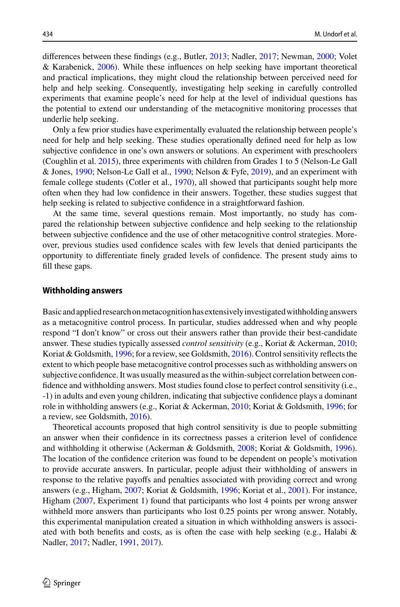diferences between these fndings (e.g., Butler, [2013](#page-24-3); Nadler, [2017;](#page-26-7) Newman, [2000](#page-26-5); Volet & Karabenick, [2006\)](#page-27-6). While these infuences on help seeking have important theoretical and practical implications, they might cloud the relationship between perceived need for help and help seeking. Consequently, investigating help seeking in carefully controlled experiments that examine people's need for help at the level of individual questions has the potential to extend our understanding of the metacognitive monitoring processes that underlie help seeking.

Only a few prior studies have experimentally evaluated the relationship between people's need for help and help seeking. These studies operationally defned need for help as low subjective confdence in one's own answers or solutions. An experiment with preschoolers (Coughlin et al. [2015](#page-24-4)), three experiments with children from Grades 1 to 5 (Nelson-Le Gall & Jones, [1990](#page-26-10); Nelson-Le Gall et al., [1990;](#page-26-11) Nelson & Fyfe, [2019\)](#page-26-12), and an experiment with female college students (Cotler et al., [1970\)](#page-24-7), all showed that participants sought help more often when they had low confdence in their answers. Together, these studies suggest that help seeking is related to subjective confdence in a straightforward fashion.

At the same time, several questions remain. Most importantly, no study has compared the relationship between subjective confdence and help seeking to the relationship between subjective confdence and the use of other metacognitive control strategies. Moreover, previous studies used confdence scales with few levels that denied participants the opportunity to diferentiate fnely graded levels of confdence. The present study aims to fll these gaps.

#### **Withholding answers**

Basic and applied research on metacognition has extensively investigated withholding answers as a metacognitive control process. In particular, studies addressed when and why people respond "I don't know" or cross out their answers rather than provide their best-candidate answer. These studies typically assessed *control sensitivity* (e.g., Koriat & Ackerman, [2010;](#page-25-17) Koriat & Goldsmith, [1996;](#page-25-8) for a review, see Goldsmith, [2016](#page-25-4)). Control sensitivity refects the extent to which people base metacognitive control processes such as withholding answers on subjective confdence. It was usually measured as the within-subject correlation between confdence and withholding answers. Most studies found close to perfect control sensitivity (i.e., -1) in adults and even young children, indicating that subjective confdence plays a dominant role in withholding answers (e.g., Koriat & Ackerman, [2010](#page-25-17); Koriat & Goldsmith, [1996](#page-25-8); for a review, see Goldsmith, [2016\)](#page-25-4).

Theoretical accounts proposed that high control sensitivity is due to people submitting an answer when their confdence in its correctness passes a criterion level of confdence and withholding it otherwise (Ackerman & Goldsmith, [2008;](#page-24-2) Koriat & Goldsmith, [1996](#page-25-8)). The location of the confdence criterion was found to be dependent on people's motivation to provide accurate answers. In particular, people adjust their withholding of answers in response to the relative payofs and penalties associated with providing correct and wrong answers (e.g., Higham, [2007;](#page-25-6) Koriat & Goldsmith, [1996](#page-25-8); Koriat et al., [2001\)](#page-26-13). For instance, Higham [\(2007](#page-25-6), Experiment 1) found that participants who lost 4 points per wrong answer withheld more answers than participants who lost 0.25 points per wrong answer. Notably, this experimental manipulation created a situation in which withholding answers is associated with both benefits and costs, as is often the case with help seeking (e.g., Halabi  $\&$ Nadler, [2017;](#page-25-14) Nadler, [1991](#page-26-6), [2017\)](#page-26-7).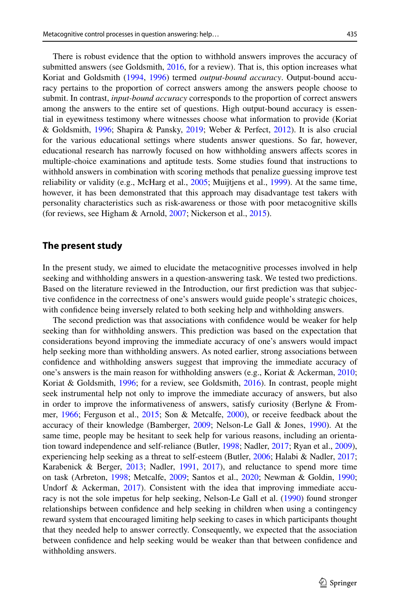There is robust evidence that the option to withhold answers improves the accuracy of submitted answers (see Goldsmith, [2016](#page-25-4), for a review). That is, this option increases what Koriat and Goldsmith ([1994,](#page-25-7) [1996\)](#page-25-8) termed *output-bound accuracy*. Output-bound accuracy pertains to the proportion of correct answers among the answers people choose to submit. In contrast, *input-bound accuracy* corresponds to the proportion of correct answers among the answers to the entire set of questions. High output-bound accuracy is essential in eyewitness testimony where witnesses choose what information to provide (Koriat & Goldsmith, [1996;](#page-25-8) Shapira & Pansky, [2019](#page-27-9); Weber & Perfect, [2012\)](#page-27-10). It is also crucial for the various educational settings where students answer questions. So far, however, educational research has narrowly focused on how withholding answers afects scores in multiple-choice examinations and aptitude tests. Some studies found that instructions to withhold answers in combination with scoring methods that penalize guessing improve test reliability or validity (e.g., McHarg et al.,  $2005$ ; Muijtjens et al.,  $1999$ ). At the same time, however, it has been demonstrated that this approach may disadvantage test takers with personality characteristics such as risk-awareness or those with poor metacognitive skills (for reviews, see Higham & Arnold, [2007;](#page-25-18) Nickerson et al., [2015](#page-27-1)).

### **The present study**

In the present study, we aimed to elucidate the metacognitive processes involved in help seeking and withholding answers in a question-answering task. We tested two predictions. Based on the literature reviewed in the Introduction, our frst prediction was that subjective confdence in the correctness of one's answers would guide people's strategic choices, with confdence being inversely related to both seeking help and withholding answers.

The second prediction was that associations with confdence would be weaker for help seeking than for withholding answers. This prediction was based on the expectation that considerations beyond improving the immediate accuracy of one's answers would impact help seeking more than withholding answers. As noted earlier, strong associations between confdence and withholding answers suggest that improving the immediate accuracy of one's answers is the main reason for withholding answers (e.g., Koriat & Ackerman, [2010;](#page-25-17) Koriat & Goldsmith, [1996](#page-25-8); for a review, see Goldsmith, [2016\)](#page-25-4). In contrast, people might seek instrumental help not only to improve the immediate accuracy of answers, but also in order to improve the informativeness of answers, satisfy curiosity (Berlyne & Frommer, [1966](#page-24-8); Ferguson et al., [2015](#page-25-19); Son & Metcalfe, [2000](#page-27-11)), or receive feedback about the accuracy of their knowledge (Bamberger, [2009;](#page-24-9) Nelson-Le Gall & Jones, [1990\)](#page-26-10). At the same time, people may be hesitant to seek help for various reasons, including an orientation toward independence and self-reliance (Butler, [1998](#page-24-10); Nadler, [2017;](#page-26-7) Ryan et al., [2009](#page-27-12)), experiencing help seeking as a threat to self-esteem (Butler, [2006](#page-24-11); Halabi & Nadler, [2017;](#page-25-14) Karabenick & Berger, [2013;](#page-25-10) Nadler, [1991,](#page-26-6) [2017\)](#page-26-7), and reluctance to spend more time on task (Arbreton, [1998;](#page-24-12) Metcalfe, [2009](#page-26-16); Santos et al., [2020](#page-27-13); Newman & Goldin, [1990;](#page-27-8) Undorf & Ackerman,  $2017$ ). Consistent with the idea that improving immediate accuracy is not the sole impetus for help seeking, Nelson-Le Gall et al. ([1990\)](#page-26-11) found stronger relationships between confdence and help seeking in children when using a contingency reward system that encouraged limiting help seeking to cases in which participants thought that they needed help to answer correctly. Consequently, we expected that the association between confdence and help seeking would be weaker than that between confdence and withholding answers.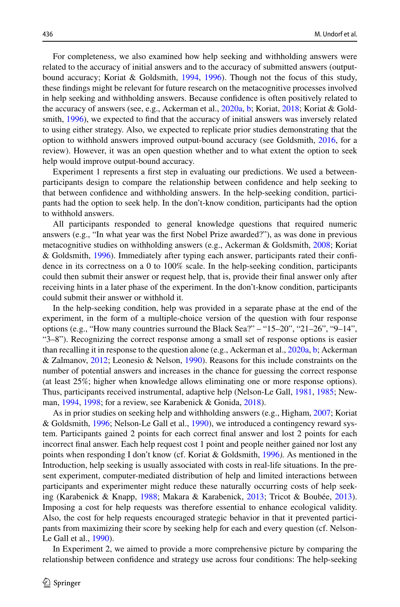For completeness, we also examined how help seeking and withholding answers were related to the accuracy of initial answers and to the accuracy of submitted answers (outputbound accuracy; Koriat & Goldsmith, [1994](#page-25-7), [1996\)](#page-25-8). Though not the focus of this study, these fndings might be relevant for future research on the metacognitive processes involved in help seeking and withholding answers. Because confdence is often positively related to the accuracy of answers (see, e.g., Ackerman et al., [2020a](#page-24-13), [b;](#page-24-14) Koriat, [2018](#page-25-20); Koriat & Gold-smith, [1996\)](#page-25-8), we expected to find that the accuracy of initial answers was inversely related to using either strategy. Also, we expected to replicate prior studies demonstrating that the option to withhold answers improved output-bound accuracy (see Goldsmith, [2016,](#page-25-4) for a review). However, it was an open question whether and to what extent the option to seek help would improve output-bound accuracy.

Experiment 1 represents a frst step in evaluating our predictions. We used a betweenparticipants design to compare the relationship between confdence and help seeking to that between confdence and withholding answers. In the help-seeking condition, participants had the option to seek help. In the don't-know condition, participants had the option to withhold answers.

All participants responded to general knowledge questions that required numeric answers (e.g., "In what year was the frst Nobel Prize awarded?"), as was done in previous metacognitive studies on withholding answers (e.g., Ackerman & Goldsmith, [2008](#page-24-2); Koriat & Goldsmith, [1996\)](#page-25-8). Immediately after typing each answer, participants rated their confdence in its correctness on a 0 to 100% scale. In the help-seeking condition, participants could then submit their answer or request help, that is, provide their fnal answer only after receiving hints in a later phase of the experiment. In the don't-know condition, participants could submit their answer or withhold it.

In the help-seeking condition, help was provided in a separate phase at the end of the experiment, in the form of a multiple-choice version of the question with four response options (e.g., "How many countries surround the Black Sea?" – "15–20", "21–26", "9–14", "3–8"). Recognizing the correct response among a small set of response options is easier than recalling it in response to the question alone (e.g., Ackerman et al., [2020a,](#page-24-13) [b;](#page-24-14) Ackerman & Zalmanov, [2012;](#page-24-15) Leonesio & Nelson, [1990](#page-26-17)). Reasons for this include constraints on the number of potential answers and increases in the chance for guessing the correct response (at least 25%; higher when knowledge allows eliminating one or more response options). Thus, participants received instrumental, adaptive help (Nelson-Le Gall, [1981](#page-26-2), [1985;](#page-26-8) Newman, [1994,](#page-26-3) [1998;](#page-26-4) for a review, see Karabenick & Gonida, [2018](#page-25-11)).

As in prior studies on seeking help and withholding answers (e.g., Higham, [2007](#page-25-6); Koriat & Goldsmith, [1996;](#page-25-8) Nelson-Le Gall et al., [1990](#page-26-11)), we introduced a contingency reward system. Participants gained 2 points for each correct fnal answer and lost 2 points for each incorrect fnal answer. Each help request cost 1 point and people neither gained nor lost any points when responding I don't know (cf. Koriat & Goldsmith, [1996](#page-25-8)*).* As mentioned in the Introduction, help seeking is usually associated with costs in real-life situations. In the present experiment, computer-mediated distribution of help and limited interactions between participants and experimenter might reduce these naturally occurring costs of help seeking (Karabenick & Knapp, [1988;](#page-25-16) Makara & Karabenick, [2013](#page-26-9); Tricot & Boubée, [2013](#page-27-15)). Imposing a cost for help requests was therefore essential to enhance ecological validity. Also, the cost for help requests encouraged strategic behavior in that it prevented participants from maximizing their score by seeking help for each and every question (cf. Nelson-Le Gall et al., [1990](#page-26-11)).

In Experiment 2, we aimed to provide a more comprehensive picture by comparing the relationship between confdence and strategy use across four conditions: The help-seeking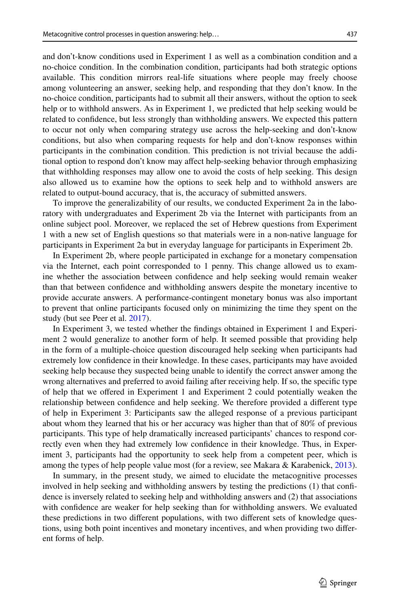and don't-know conditions used in Experiment 1 as well as a combination condition and a no-choice condition. In the combination condition, participants had both strategic options available. This condition mirrors real-life situations where people may freely choose among volunteering an answer, seeking help, and responding that they don't know. In the no-choice condition, participants had to submit all their answers, without the option to seek help or to withhold answers. As in Experiment 1, we predicted that help seeking would be related to confdence, but less strongly than withholding answers. We expected this pattern to occur not only when comparing strategy use across the help-seeking and don't-know conditions, but also when comparing requests for help and don't-know responses within participants in the combination condition. This prediction is not trivial because the additional option to respond don't know may afect help-seeking behavior through emphasizing that withholding responses may allow one to avoid the costs of help seeking. This design also allowed us to examine how the options to seek help and to withhold answers are related to output-bound accuracy, that is, the accuracy of submitted answers.

To improve the generalizability of our results, we conducted Experiment 2a in the laboratory with undergraduates and Experiment 2b via the Internet with participants from an online subject pool. Moreover, we replaced the set of Hebrew questions from Experiment 1 with a new set of English questions so that materials were in a non-native language for participants in Experiment 2a but in everyday language for participants in Experiment 2b.

In Experiment 2b, where people participated in exchange for a monetary compensation via the Internet, each point corresponded to 1 penny. This change allowed us to examine whether the association between confdence and help seeking would remain weaker than that between confdence and withholding answers despite the monetary incentive to provide accurate answers. A performance-contingent monetary bonus was also important to prevent that online participants focused only on minimizing the time they spent on the study (but see Peer et al. [2017\)](#page-27-16).

In Experiment 3, we tested whether the fndings obtained in Experiment 1 and Experiment 2 would generalize to another form of help. It seemed possible that providing help in the form of a multiple-choice question discouraged help seeking when participants had extremely low confdence in their knowledge. In these cases, participants may have avoided seeking help because they suspected being unable to identify the correct answer among the wrong alternatives and preferred to avoid failing after receiving help. If so, the specifc type of help that we ofered in Experiment 1 and Experiment 2 could potentially weaken the relationship between confdence and help seeking. We therefore provided a diferent type of help in Experiment 3: Participants saw the alleged response of a previous participant about whom they learned that his or her accuracy was higher than that of 80% of previous participants. This type of help dramatically increased participants' chances to respond correctly even when they had extremely low confdence in their knowledge. Thus, in Experiment 3, participants had the opportunity to seek help from a competent peer, which is among the types of help people value most (for a review, see Makara & Karabenick, [2013](#page-26-9)).

In summary, in the present study, we aimed to elucidate the metacognitive processes involved in help seeking and withholding answers by testing the predictions (1) that confdence is inversely related to seeking help and withholding answers and (2) that associations with confdence are weaker for help seeking than for withholding answers. We evaluated these predictions in two diferent populations, with two diferent sets of knowledge questions, using both point incentives and monetary incentives, and when providing two diferent forms of help.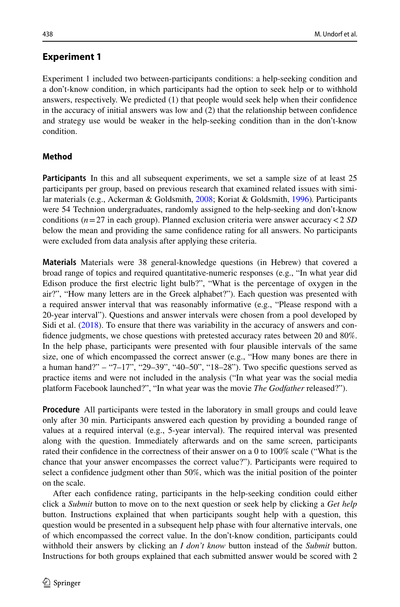# **Experiment 1**

Experiment 1 included two between-participants conditions: a help-seeking condition and

a don't-know condition, in which participants had the option to seek help or to withhold answers, respectively. We predicted (1) that people would seek help when their confdence in the accuracy of initial answers was low and (2) that the relationship between confdence and strategy use would be weaker in the help-seeking condition than in the don't-know condition.

# **Method**

**Participants** In this and all subsequent experiments, we set a sample size of at least 25 participants per group, based on previous research that examined related issues with similar materials (e.g., Ackerman & Goldsmith, [2008;](#page-24-2) Koriat & Goldsmith, [1996\)](#page-25-8)*.* Participants were 54 Technion undergraduates, randomly assigned to the help-seeking and don't-know conditions ( $n=27$  in each group). Planned exclusion criteria were answer accuracy  $\lt 2$  *SD* below the mean and providing the same confdence rating for all answers. No participants were excluded from data analysis after applying these criteria.

**Materials** Materials were 38 general-knowledge questions (in Hebrew) that covered a broad range of topics and required quantitative-numeric responses (e.g., "In what year did Edison produce the frst electric light bulb?", "What is the percentage of oxygen in the air?", "How many letters are in the Greek alphabet?"). Each question was presented with a required answer interval that was reasonably informative (e.g., "Please respond with a 20-year interval"). Questions and answer intervals were chosen from a pool developed by Sidi et al. [\(2018](#page-27-17)). To ensure that there was variability in the accuracy of answers and confdence judgments, we chose questions with pretested accuracy rates between 20 and 80%. In the help phase, participants were presented with four plausible intervals of the same size, one of which encompassed the correct answer (e.g., "How many bones are there in a human hand?" – "7–17", "29–39", "40–50", "18–28"). Two specifc questions served as practice items and were not included in the analysis ("In what year was the social media platform Facebook launched?", "In what year was the movie *The Godfather* released?").

**Procedure** All participants were tested in the laboratory in small groups and could leave only after 30 min. Participants answered each question by providing a bounded range of values at a required interval (e.g., 5-year interval). The required interval was presented along with the question. Immediately afterwards and on the same screen, participants rated their confdence in the correctness of their answer on a 0 to 100% scale ("What is the chance that your answer encompasses the correct value?"). Participants were required to select a confdence judgment other than 50%, which was the initial position of the pointer on the scale.

After each confdence rating, participants in the help-seeking condition could either click a *Submit* button to move on to the next question or seek help by clicking a *Get help* button. Instructions explained that when participants sought help with a question, this question would be presented in a subsequent help phase with four alternative intervals, one of which encompassed the correct value. In the don't-know condition, participants could withhold their answers by clicking an *I don't know* button instead of the *Submit* button. Instructions for both groups explained that each submitted answer would be scored with 2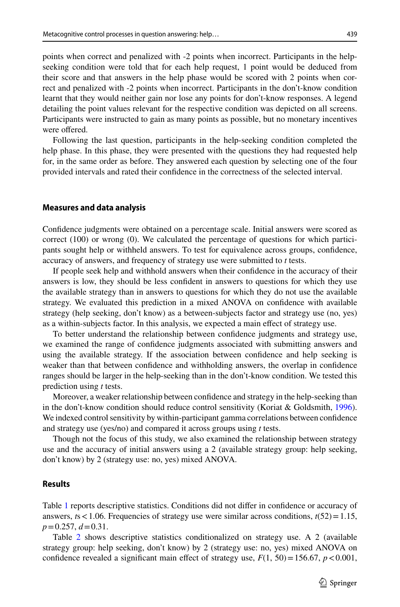points when correct and penalized with -2 points when incorrect. Participants in the helpseeking condition were told that for each help request, 1 point would be deduced from their score and that answers in the help phase would be scored with 2 points when correct and penalized with -2 points when incorrect. Participants in the don't-know condition learnt that they would neither gain nor lose any points for don't-know responses. A legend detailing the point values relevant for the respective condition was depicted on all screens. Participants were instructed to gain as many points as possible, but no monetary incentives were offered.

Following the last question, participants in the help-seeking condition completed the help phase. In this phase, they were presented with the questions they had requested help for, in the same order as before. They answered each question by selecting one of the four provided intervals and rated their confdence in the correctness of the selected interval.

#### **Measures and data analysis**

Confdence judgments were obtained on a percentage scale. Initial answers were scored as correct (100) or wrong (0). We calculated the percentage of questions for which participants sought help or withheld answers. To test for equivalence across groups, confdence, accuracy of answers, and frequency of strategy use were submitted to *t* tests.

If people seek help and withhold answers when their confdence in the accuracy of their answers is low, they should be less confdent in answers to questions for which they use the available strategy than in answers to questions for which they do not use the available strategy. We evaluated this prediction in a mixed ANOVA on confdence with available strategy (help seeking, don't know) as a between-subjects factor and strategy use (no, yes) as a within-subjects factor. In this analysis, we expected a main efect of strategy use.

To better understand the relationship between confdence judgments and strategy use, we examined the range of confdence judgments associated with submitting answers and using the available strategy. If the association between confdence and help seeking is weaker than that between confdence and withholding answers, the overlap in confdence ranges should be larger in the help-seeking than in the don't-know condition. We tested this prediction using *t* tests.

Moreover, a weaker relationship between confdence and strategy in the help-seeking than in the don't-know condition should reduce control sensitivity (Koriat & Goldsmith, [1996](#page-25-8)). We indexed control sensitivity by within-participant gamma correlations between confdence and strategy use (yes/no) and compared it across groups using *t* tests.

Though not the focus of this study, we also examined the relationship between strategy use and the accuracy of initial answers using a 2 (available strategy group: help seeking, don't know) by 2 (strategy use: no, yes) mixed ANOVA.

# **Results**

Table [1](#page-9-0) reports descriptive statistics. Conditions did not difer in confdence or accuracy of answers, *. Frequencies of strategy use were similar across conditions,*  $*t*(52) = 1.15$ *, p*=0.257, *d*=0.31.

Table [2](#page-10-0) shows descriptive statistics conditionalized on strategy use. A 2 (available strategy group: help seeking, don't know) by 2 (strategy use: no, yes) mixed ANOVA on confidence revealed a significant main effect of strategy use,  $F(1, 50) = 156.67$ ,  $p < 0.001$ ,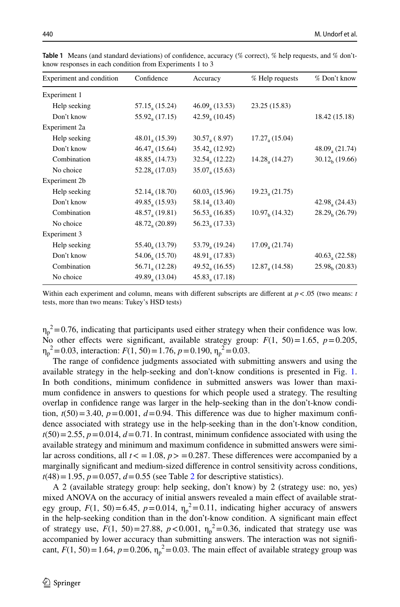| Experiment and condition | Confidence                   | Accuracy                   | % Help requests  | % Don't know                   |
|--------------------------|------------------------------|----------------------------|------------------|--------------------------------|
| Experiment 1             |                              |                            |                  |                                |
| Help seeking             | 57.15, (15.24)               | 46.09, (13.53)             | 23.25 (15.83)    |                                |
| Don't know               | 55.92 <sub>a</sub> (17.15)   | 42.59, (10.45)             |                  | 18.42 (15.18)                  |
| Experiment 2a            |                              |                            |                  |                                |
| Help seeking             | 48.01, (15.39)               | $30.57a$ (8.97)            | 17.27, (15.04)   |                                |
| Don't know               | 46.47, (15.64)               | 35.42, (12.92)             |                  | 48.09, (21.74)                 |
| Combination              | 48.85, (14.73)               | 32.54, (12.22)             | 14.28, (14.27)   | $30.12h$ (19.66)               |
| No choice                | 52.28, (17.03)               | 35.07, (15.63)             |                  |                                |
| Experiment 2b            |                              |                            |                  |                                |
| Help seeking             | $52.14_{\text{a}} (18.70)$   | 60.03, (15.96)             | $19.23_a(21.75)$ |                                |
| Don't know               | 49.85 (15.93)                | 58.14, (13.40)             |                  | $42.98a$ (24.43)               |
| Combination              | 48.57, (19.81)               | 56.53, (16.85)             | $10.97h$ (14.32) | $28.29h$ (26.79)               |
| No choice                | 48.72, (20.89)               | 56.23, (17.33)             |                  |                                |
| Experiment 3             |                              |                            |                  |                                |
| Help seeking             | 55.40, (13.79)               | 53.79 <sub>a</sub> (19.24) | 17.09, (21.74)   |                                |
| Don't know               | 54.06 (15.70)                | $48.91_{\text{a}} (17.83)$ |                  | $40.63$ <sub>2</sub> $(22.58)$ |
| Combination              | 56.71 <sub>a</sub> $(12.28)$ | 49.52, (16.55)             | 12.87, (14.58)   | $25.98h$ (20.83)               |
| No choice                | 49.89, (13.04)               | 45.83, (17.18)             |                  |                                |

<span id="page-9-0"></span>**Table 1** Means (and standard deviations) of confdence, accuracy (% correct), % help requests, and % don'tknow responses in each condition from Experiments 1 to 3

 $\eta_p^2$  = 0.76, indicating that participants used either strategy when their confidence was low. No other effects were significant, available strategy group:  $F(1, 50) = 1.65$ ,  $p = 0.205$ ,  $\eta_p^2 = 0.03$ , interaction:  $F(1, 50) = 1.76$ ,  $p = 0.190$ ,  $\eta_p^2 = 0.03$ .

The range of confdence judgments associated with submitting answers and using the available strategy in the help-seeking and don't-know conditions is presented in Fig. [1](#page-11-0). In both conditions, minimum confdence in submitted answers was lower than maximum confdence in answers to questions for which people used a strategy. The resulting overlap in confdence range was larger in the help-seeking than in the don't-know condition,  $t(50) = 3.40$ ,  $p = 0.001$ ,  $d = 0.94$ . This difference was due to higher maximum confidence associated with strategy use in the help-seeking than in the don't-know condition,  $t(50)=2.55, p=0.014, d=0.71$ . In contrast, minimum confidence associated with using the available strategy and minimum and maximum confdence in submitted answers were similar across conditions, all  $t < 1.08$ ,  $p > 0.287$ . These differences were accompanied by a marginally signifcant and medium-sized diference in control sensitivity across conditions,  $t(48) = 1.95$ ,  $p = 0.057$ ,  $d = 0.55$  (see Table [2](#page-10-0) for descriptive statistics).

A 2 (available strategy group: help seeking, don't know) by 2 (strategy use: no, yes) mixed ANOVA on the accuracy of initial answers revealed a main efect of available strategy group,  $F(1, 50) = 6.45$ ,  $p = 0.014$ ,  $\eta_p^2 = 0.11$ , indicating higher accuracy of answers in the help-seeking condition than in the don't-know condition. A signifcant main efect of strategy use,  $F(1, 50) = 27.88$ ,  $p < 0.001$ ,  $\eta_p^2 = 0.36$ , indicated that strategy use was accompanied by lower accuracy than submitting answers. The interaction was not signifcant,  $F(1, 50) = 1.64$ ,  $p = 0.206$ ,  $\eta_p^2 = 0.03$ . The main effect of available strategy group was

Within each experiment and column, means with different subscripts are different at *p* < .05 (two means: *t* tests, more than two means: Tukey's HSD tests)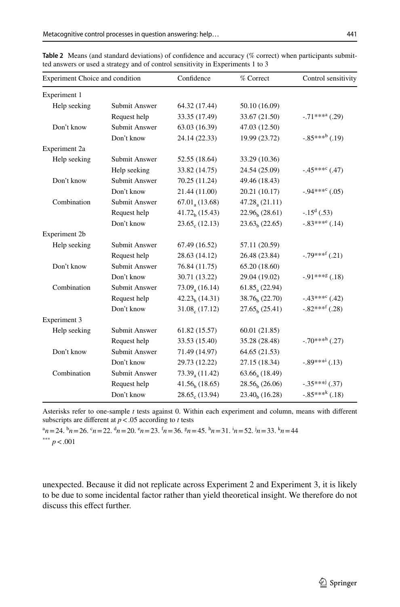| Experiment Choice and condition |                      | Confidence                 | % Correct                  | Control sensitivity    |  |  |  |
|---------------------------------|----------------------|----------------------------|----------------------------|------------------------|--|--|--|
|                                 |                      |                            |                            |                        |  |  |  |
| Experiment 1                    |                      |                            |                            |                        |  |  |  |
| Help seeking                    | Submit Answer        | 64.32 (17.44)              | 50.10 (16.09)              |                        |  |  |  |
|                                 | Request help         | 33.35 (17.49)              | 33.67 (21.50)              | $-71***a$ (.29)        |  |  |  |
| Don't know                      | <b>Submit Answer</b> | 63.03 (16.39)              | 47.03 (12.50)              |                        |  |  |  |
|                                 | Don't know           | 24.14 (22.33)              | 19.99 (23.72)              | $-.85***^{\&}(.19)$    |  |  |  |
| Experiment 2a                   |                      |                            |                            |                        |  |  |  |
| Help seeking                    | Submit Answer        | 52.55 (18.64)              | 33.29 (10.36)              |                        |  |  |  |
|                                 | Help seeking         | 33.82 (14.75)              | 24.54 (25.09)              | $-45***^{\circ}$ (.47) |  |  |  |
| Don't know                      | <b>Submit Answer</b> | 70.25 (11.24)              | 49.46 (18.43)              |                        |  |  |  |
|                                 | Don't know           | 21.44 (11.00)              | 20.21 (10.17)              | $-94***^{\circ}$ (.05) |  |  |  |
| Combination                     | <b>Submit Answer</b> | $67.01_{\text{a}} (13.68)$ | 47.28, (21.11)             |                        |  |  |  |
|                                 | Request help         | $41.72h$ (15.43)           | $22.96h$ (28.61)           | $-.15^{\rm d}(.53)$    |  |  |  |
|                                 | Don't know           | $23.65_c(12.13)$           | $23.63h$ (22.65)           | $-.83***^e(.14)$       |  |  |  |
| Experiment 2b                   |                      |                            |                            |                        |  |  |  |
| Help seeking                    | <b>Submit Answer</b> | 67.49 (16.52)              | 57.11 (20.59)              |                        |  |  |  |
|                                 | Request help         | 28.63 (14.12)              | 26.48 (23.84)              | $-.79***^f(.21)$       |  |  |  |
| Don't know                      | <b>Submit Answer</b> | 76.84 (11.75)              | 65.20 (18.60)              |                        |  |  |  |
|                                 | Don't know           | 30.71 (13.22)              | 29.04 (19.02)              | $-91***$ (.18)         |  |  |  |
| Combination                     | <b>Submit Answer</b> | 73.09, (16.14)             | 61.85, (22.94)             |                        |  |  |  |
|                                 | Request help         | $42.23h$ (14.31)           | 38.76 <sub>h</sub> (22.70) | $-43***^{\circ}$ (.42) |  |  |  |
|                                 | Don't know           | $31.08c$ (17.12)           | $27.65b$ (25.41)           | $-.82***^f(.28)$       |  |  |  |
| Experiment 3                    |                      |                            |                            |                        |  |  |  |

<span id="page-10-0"></span>**Table 2** Means (and standard deviations) of confidence and accuracy (% correct) when participants submitted answers or used a strategy and of control sensitivity in Experiments 1 to 3 ted answers or used a strategy and of control sensitivity in Experiments 1 to 3

Asterisks refer to one-sample *t* tests against 0. Within each experiment and column, means with diferent subscripts are different at  $p < .05$  according to *t* tests

Request help 33.53 (15.40) 35.28 (28.48)

Don't know 29.73 (12.22) 27.15 (18.34)

Request help  $41.56<sub>b</sub>$  (18.65)  $28.56<sub>b</sub>$  (26.06)<br>Don't know  $28.65<sub>c</sub>$  (13.94)  $23.40<sub>b</sub>$  (16.28)

 $a_n = 24$ .  $b_n = 26$ .  $c_n = 22$ .  $d_n = 20$ .  $c_n = 23$ .  $f_n = 36$ .  $g_n = 45$ .  $b_n = 31$ .  $i_n = 52$ .  $j_n = 33$ .  $k_n = 44$ \*\*\* *p*<.001

Help seeking Submit Answer 61.82 (15.57) 60.01 (21.85)

Don't know Submit Answer 71.49 (14.97) 64.65 (21.53)

Combination Submit Answer  $73.39_{a} (11.42)$   $63.66_{a} (18.49)$ 

Don't know  $28.65<sub>c</sub> (13.94)$ 

unexpected. Because it did not replicate across Experiment 2 and Experiment 3, it is likely to be due to some incidental factor rather than yield theoretical insight. We therefore do not discuss this efect further.

 $-.70***^{\text{h}}(.27)$ 

 $-.89***$ <sup>i</sup> (.13)

 $-.35***^{\dagger}(.37)$ 

 $-.85***$  (.18)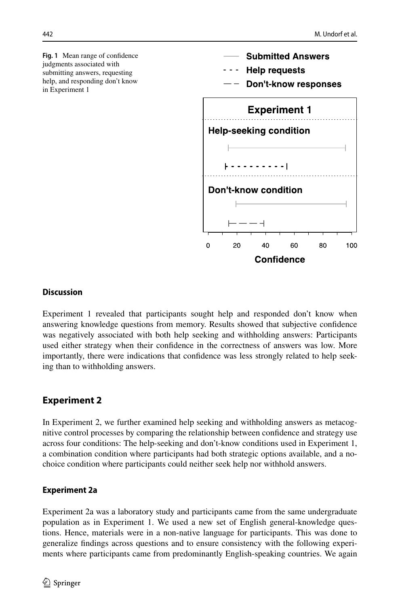<span id="page-11-0"></span>**Fig. 1** Mean range of confdence judgments associated with submitting answers, requesting help, and responding don't know in Experiment 1



# **Discussion**

Experiment 1 revealed that participants sought help and responded don't know when answering knowledge questions from memory. Results showed that subjective confdence was negatively associated with both help seeking and withholding answers: Participants used either strategy when their confdence in the correctness of answers was low. More importantly, there were indications that confdence was less strongly related to help seeking than to withholding answers.

# **Experiment 2**

In Experiment 2, we further examined help seeking and withholding answers as metacognitive control processes by comparing the relationship between confdence and strategy use across four conditions: The help-seeking and don't-know conditions used in Experiment 1, a combination condition where participants had both strategic options available, and a nochoice condition where participants could neither seek help nor withhold answers.

# **Experiment 2a**

Experiment 2a was a laboratory study and participants came from the same undergraduate population as in Experiment 1. We used a new set of English general-knowledge questions. Hence, materials were in a non-native language for participants. This was done to generalize fndings across questions and to ensure consistency with the following experiments where participants came from predominantly English-speaking countries. We again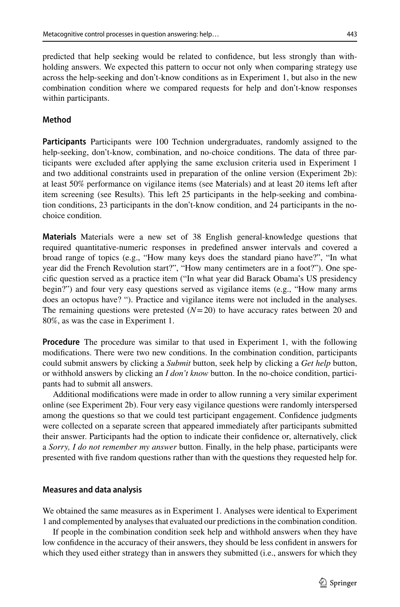predicted that help seeking would be related to confdence, but less strongly than withholding answers. We expected this pattern to occur not only when comparing strategy use across the help-seeking and don't-know conditions as in Experiment 1, but also in the new combination condition where we compared requests for help and don't-know responses within participants.

# **Method**

**Participants** Participants were 100 Technion undergraduates, randomly assigned to the help-seeking, don't-know, combination, and no-choice conditions. The data of three participants were excluded after applying the same exclusion criteria used in Experiment 1 and two additional constraints used in preparation of the online version (Experiment 2b): at least 50% performance on vigilance items (see Materials) and at least 20 items left after item screening (see Results). This left 25 participants in the help-seeking and combination conditions, 23 participants in the don't-know condition, and 24 participants in the nochoice condition.

**Materials** Materials were a new set of 38 English general-knowledge questions that required quantitative-numeric responses in predefned answer intervals and covered a broad range of topics (e.g., "How many keys does the standard piano have?", "In what year did the French Revolution start?", "How many centimeters are in a foot?"). One specifc question served as a practice item ("In what year did Barack Obama's US presidency begin?") and four very easy questions served as vigilance items (e.g., "How many arms does an octopus have? "). Practice and vigilance items were not included in the analyses. The remaining questions were pretested  $(N=20)$  to have accuracy rates between 20 and 80%, as was the case in Experiment 1.

**Procedure** The procedure was similar to that used in Experiment 1, with the following modifcations. There were two new conditions. In the combination condition, participants could submit answers by clicking a *Submit* button, seek help by clicking a *Get help* button, or withhold answers by clicking an *I don't know* button. In the no-choice condition, participants had to submit all answers.

Additional modifcations were made in order to allow running a very similar experiment online (see Experiment 2b). Four very easy vigilance questions were randomly interspersed among the questions so that we could test participant engagement. Confdence judgments were collected on a separate screen that appeared immediately after participants submitted their answer. Participants had the option to indicate their confdence or, alternatively, click a *Sorry, I do not remember my answer* button. Finally, in the help phase, participants were presented with fve random questions rather than with the questions they requested help for.

### **Measures and data analysis**

We obtained the same measures as in Experiment 1. Analyses were identical to Experiment 1 and complemented by analyses that evaluated our predictions in the combination condition.

If people in the combination condition seek help and withhold answers when they have low confdence in the accuracy of their answers, they should be less confdent in answers for which they used either strategy than in answers they submitted (i.e., answers for which they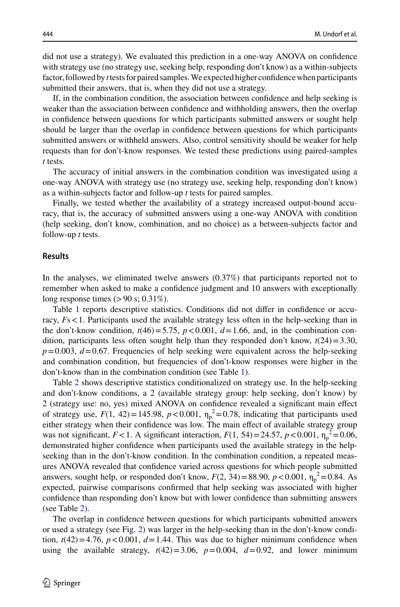did not use a strategy). We evaluated this prediction in a one-way ANOVA on confdence with strategy use (no strategy use, seeking help, responding don't know) as a within-subjects factor, followed by *t* tests for paired samples. We expected higher confdence when participants submitted their answers, that is, when they did not use a strategy.

If, in the combination condition, the association between confdence and help seeking is weaker than the association between confdence and withholding answers, then the overlap in confdence between questions for which participants submitted answers or sought help should be larger than the overlap in confdence between questions for which participants submitted answers or withheld answers. Also, control sensitivity should be weaker for help requests than for don't-know responses. We tested these predictions using paired-samples *t* tests.

The accuracy of initial answers in the combination condition was investigated using a one-way ANOVA with strategy use (no strategy use, seeking help, responding don't know) as a within-subjects factor and follow-up *t* tests for paired samples.

Finally, we tested whether the availability of a strategy increased output-bound accuracy, that is, the accuracy of submitted answers using a one-way ANOVA with condition (help seeking, don't know, combination, and no choice) as a between-subjects factor and follow-up *t* tests.

#### **Results**

In the analyses, we eliminated twelve answers (0.37%) that participants reported not to remember when asked to make a confdence judgment and 10 answers with exceptionally long response times  $(>90 \text{ s}; 0.31\%).$ 

Table [1](#page-9-0) reports descriptive statistics. Conditions did not difer in confdence or accuracy,  $Fs < 1$ . Participants used the available strategy less often in the help-seeking than in the don't-know condition,  $t(46)=5.75$ ,  $p < 0.001$ ,  $d=1.66$ , and, in the combination condition, participants less often sought help than they responded don't know,  $t(24)=3.30$ ,  $p=0.003$ ,  $d=0.67$ . Frequencies of help seeking were equivalent across the help-seeking and combination condition, but frequencies of don't-know responses were higher in the don't-know than in the combination condition (see Table [1](#page-9-0)).

Table [2](#page-10-0) shows descriptive statistics conditionalized on strategy use. In the help-seeking and don't-know conditions, a 2 (available strategy group: help seeking, don't know) by 2 (strategy use: no, yes) mixed ANOVA on confdence revealed a signifcant main efect of strategy use,  $F(1, 42) = 145.98$ ,  $p < 0.001$ ,  $\eta_p^2 = 0.78$ , indicating that participants used either strategy when their confdence was low. The main efect of available strategy group was not significant,  $F < 1$ . A significant interaction,  $F(1, 54) = 24.57$ ,  $p < 0.001$ ,  $\eta_p^2 = 0.06$ , demonstrated higher confdence when participants used the available strategy in the helpseeking than in the don't-know condition. In the combination condition, a repeated measures ANOVA revealed that confdence varied across questions for which people submitted answers, sought help, or responded don't know,  $F(2, 34) = 88.90, p < 0.001, \eta_p^2 = 0.84$ . As expected, pairwise comparisons confrmed that help seeking was associated with higher confdence than responding don't know but with lower confdence than submitting answers (see Table [2\)](#page-10-0).

The overlap in confdence between questions for which participants submitted answers or used a strategy (see Fig. [2\)](#page-14-0) was larger in the help-seeking than in the don't-know condition,  $t(42)=4.76$ ,  $p < 0.001$ ,  $d=1.44$ . This was due to higher minimum confidence when using the available strategy,  $t(42)=3.06$ ,  $p=0.004$ ,  $d=0.92$ , and lower minimum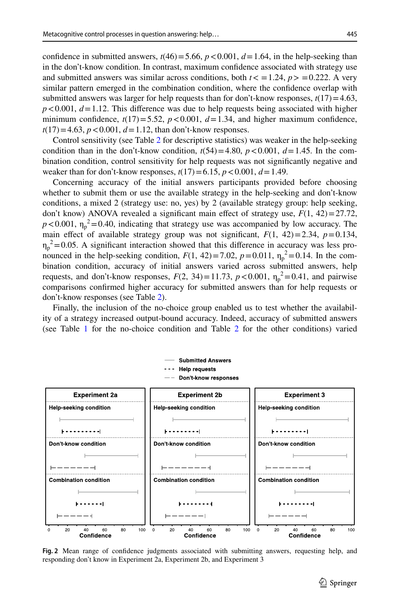confidence in submitted answers,  $t(46) = 5.66$ ,  $p < 0.001$ ,  $d = 1.64$ , in the help-seeking than in the don't-know condition. In contrast, maximum confdence associated with strategy use and submitted answers was similar across conditions, both  $t < 1.24$ ,  $p > 0.222$ . A very similar pattern emerged in the combination condition, where the confdence overlap with submitted answers was larger for help requests than for don't-know responses,  $t(17)=4.63$ ,  $p < 0.001$ ,  $d = 1.12$ . This difference was due to help requests being associated with higher minimum confidence,  $t(17) = 5.52$ ,  $p < 0.001$ ,  $d = 1.34$ , and higher maximum confidence,  $t(17) = 4.63$ ,  $p < 0.001$ ,  $d = 1.12$ , than don't-know responses.

Control sensitivity (see Table [2](#page-10-0) for descriptive statistics) was weaker in the help-seeking condition than in the don't-know condition,  $t(54)=4.80$ ,  $p < 0.001$ ,  $d=1.45$ . In the combination condition, control sensitivity for help requests was not signifcantly negative and weaker than for don't-know responses,  $t(17) = 6.15$ ,  $p < 0.001$ ,  $d = 1.49$ .

Concerning accuracy of the initial answers participants provided before choosing whether to submit them or use the available strategy in the help-seeking and don't-know conditions, a mixed 2 (strategy use: no, yes) by 2 (available strategy group: help seeking, don't know) ANOVA revealed a significant main effect of strategy use,  $F(1, 42) = 27.72$ ,  $p < 0.001$ ,  $\eta_p^2 = 0.40$ , indicating that strategy use was accompanied by low accuracy. The main effect of available strategy group was not significant,  $F(1, 42)=2.34$ ,  $p=0.134$ ,  $\eta_p^2$  = 0.05. A significant interaction showed that this difference in accuracy was less pronounced in the help-seeking condition,  $F(1, 42) = 7.02$ ,  $p = 0.011$ ,  $\eta_p^2 = 0.14$ . In the combination condition, accuracy of initial answers varied across submitted answers, help requests, and don't-know responses,  $F(2, 34) = 11.73$ ,  $p < 0.001$ ,  $\eta_p^2 = 0.41$ , and pairwise comparisons confrmed higher accuracy for submitted answers than for help requests or don't-know responses (see Table [2\)](#page-10-0).

Finally, the inclusion of the no-choice group enabled us to test whether the availability of a strategy increased output-bound accuracy. Indeed, accuracy of submitted answers (see Table [1](#page-9-0) for the no-choice condition and Table [2](#page-10-0) for the other conditions) varied



<span id="page-14-0"></span>**Fig. 2** Mean range of confdence judgments associated with submitting answers, requesting help, and responding don't know in Experiment 2a, Experiment 2b, and Experiment 3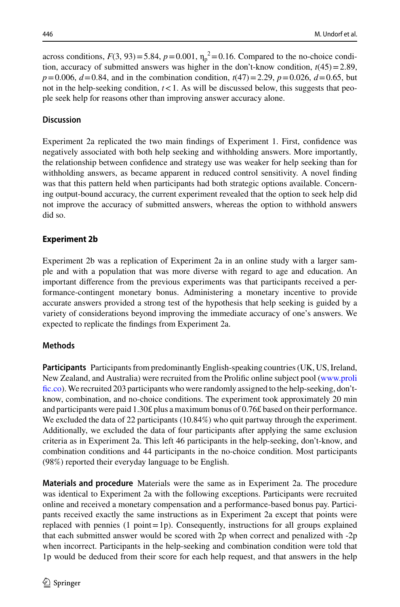across conditions,  $F(3, 93) = 5.84$ ,  $p = 0.001$ ,  $\eta_p^2 = 0.16$ . Compared to the no-choice condition, accuracy of submitted answers was higher in the don't-know condition,  $t(45)=2.89$ ,  $p=0.006, d=0.84$ , and in the combination condition,  $t(47)=2.29, p=0.026, d=0.65$ , but not in the help-seeking condition,  $t < 1$ . As will be discussed below, this suggests that people seek help for reasons other than improving answer accuracy alone.

# **Discussion**

Experiment 2a replicated the two main fndings of Experiment 1. First, confdence was negatively associated with both help seeking and withholding answers. More importantly, the relationship between confdence and strategy use was weaker for help seeking than for withholding answers, as became apparent in reduced control sensitivity. A novel fnding was that this pattern held when participants had both strategic options available. Concerning output-bound accuracy, the current experiment revealed that the option to seek help did not improve the accuracy of submitted answers, whereas the option to withhold answers did so.

# **Experiment 2b**

Experiment 2b was a replication of Experiment 2a in an online study with a larger sample and with a population that was more diverse with regard to age and education. An important diference from the previous experiments was that participants received a performance-contingent monetary bonus. Administering a monetary incentive to provide accurate answers provided a strong test of the hypothesis that help seeking is guided by a variety of considerations beyond improving the immediate accuracy of one's answers. We expected to replicate the fndings from Experiment 2a.

# **Methods**

**Participants** Participants from predominantly English-speaking countries (UK, US, Ireland, New Zealand, and Australia) were recruited from the Prolifc online subject pool [\(www.proli](http://www.prolific.co) fic.co). We recruited 203 participants who were randomly assigned to the help-seeking, don'tknow, combination, and no-choice conditions. The experiment took approximately 20 min and participants were paid 1.30£ plus a maximum bonus of 0.76£ based on their performance. We excluded the data of 22 participants (10.84%) who quit partway through the experiment. Additionally, we excluded the data of four participants after applying the same exclusion criteria as in Experiment 2a. This left 46 participants in the help-seeking, don't-know, and combination conditions and 44 participants in the no-choice condition. Most participants (98%) reported their everyday language to be English.

**Materials and procedure** Materials were the same as in Experiment 2a. The procedure was identical to Experiment 2a with the following exceptions. Participants were recruited online and received a monetary compensation and a performance-based bonus pay. Participants received exactly the same instructions as in Experiment 2a except that points were replaced with pennies  $(1 \text{ point} = 1p)$ . Consequently, instructions for all groups explained that each submitted answer would be scored with 2p when correct and penalized with -2p when incorrect. Participants in the help-seeking and combination condition were told that 1p would be deduced from their score for each help request, and that answers in the help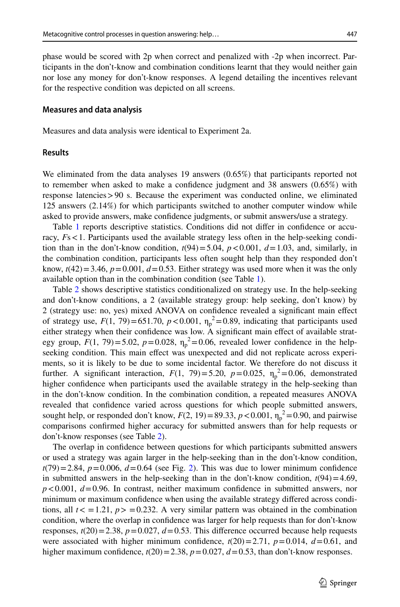phase would be scored with 2p when correct and penalized with -2p when incorrect. Participants in the don't-know and combination conditions learnt that they would neither gain nor lose any money for don't-know responses. A legend detailing the incentives relevant for the respective condition was depicted on all screens.

#### **Measures and data analysis**

Measures and data analysis were identical to Experiment 2a.

### **Results**

We eliminated from the data analyses 19 answers (0.65%) that participants reported not to remember when asked to make a confdence judgment and 38 answers (0.65%) with response latencies>90 s. Because the experiment was conducted online, we eliminated 125 answers (2.14%) for which participants switched to another computer window while asked to provide answers, make confdence judgments, or submit answers/use a strategy.

Table [1](#page-9-0) reports descriptive statistics. Conditions did not difer in confdence or accuracy,  $Fs < 1$ . Participants used the available strategy less often in the help-seeking condition than in the don't-know condition,  $t(94) = 5.04$ ,  $p < 0.001$ ,  $d = 1.03$ , and, similarly, in the combination condition, participants less often sought help than they responded don't know,  $t(42)=3.46$ ,  $p=0.001$ ,  $d=0.53$ . Either strategy was used more when it was the only available option than in the combination condition (see Table [1](#page-9-0)).

Table [2](#page-10-0) shows descriptive statistics conditionalized on strategy use. In the help-seeking and don't-know conditions, a 2 (available strategy group: help seeking, don't know) by 2 (strategy use: no, yes) mixed ANOVA on confdence revealed a signifcant main efect of strategy use,  $F(1, 79) = 651.70$ ,  $p < 0.001$ ,  $\eta_p^2 = 0.89$ , indicating that participants used either strategy when their confdence was low. A signifcant main efect of available strategy group,  $F(1, 79) = 5.02$ ,  $p = 0.028$ ,  $\eta_p^2 = 0.06$ , revealed lower confidence in the helpseeking condition. This main efect was unexpected and did not replicate across experiments, so it is likely to be due to some incidental factor. We therefore do not discuss it further. A significant interaction,  $F(1, 79) = 5.20$ ,  $p = 0.025$ ,  $\eta_p^2 = 0.06$ , demonstrated higher confdence when participants used the available strategy in the help-seeking than in the don't-know condition. In the combination condition, a repeated measures ANOVA revealed that confdence varied across questions for which people submitted answers, sought help, or responded don't know,  $F(2, 19) = 89.33$ ,  $p < 0.001$ ,  $\eta_p^2 = 0.90$ , and pairwise comparisons confrmed higher accuracy for submitted answers than for help requests or don't-know responses (see Table [2\)](#page-10-0).

The overlap in confdence between questions for which participants submitted answers or used a strategy was again larger in the help-seeking than in the don't-know condition,  $t(79)=2.84$  $t(79)=2.84$  $t(79)=2.84$ ,  $p=0.006$ ,  $d=0.64$  (see Fig. 2). This was due to lower minimum confidence in submitted answers in the help-seeking than in the don't-know condition,  $t(94)=4.69$ ,  $p < 0.001$ ,  $d = 0.96$ . In contrast, neither maximum confidence in submitted answers, nor minimum or maximum confdence when using the available strategy difered across conditions, all  $t < 1.21$ ,  $p > 0.232$ . A very similar pattern was obtained in the combination condition, where the overlap in confdence was larger for help requests than for don't-know responses,  $t(20) = 2.38$ ,  $p = 0.027$ ,  $d = 0.53$ . This difference occurred because help requests were associated with higher minimum confidence,  $t(20)=2.71$ ,  $p=0.014$ ,  $d=0.61$ , and higher maximum confidence,  $t(20) = 2.38$ ,  $p = 0.027$ ,  $d = 0.53$ , than don't-know responses.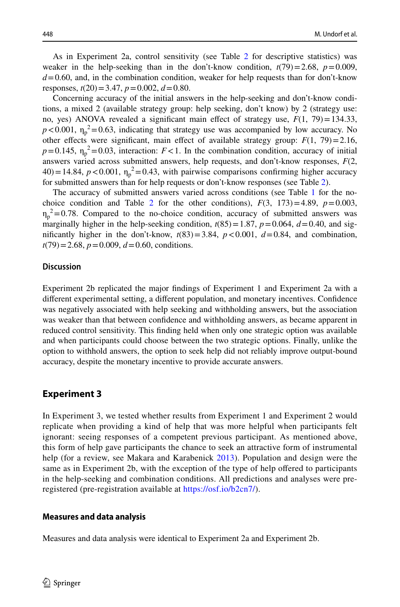As in Experiment 2a, control sensitivity (see Table [2](#page-10-0) for descriptive statistics) was weaker in the help-seeking than in the don't-know condition,  $t(79)=2.68$ ,  $p=0.009$ ,  $d=0.60$ , and, in the combination condition, weaker for help requests than for don't-know responses, *t*(20)=3.47, *p*=0.002, *d*=0.80.

Concerning accuracy of the initial answers in the help-seeking and don't-know conditions, a mixed 2 (available strategy group: help seeking, don't know) by 2 (strategy use: no, yes) ANOVA revealed a significant main effect of strategy use,  $F(1, 79) = 134.33$ ,  $p < 0.001$ ,  $\eta_p^2 = 0.63$ , indicating that strategy use was accompanied by low accuracy. No other effects were significant, main effect of available strategy group:  $F(1, 79) = 2.16$ ,  $p=0.145$ ,  $\eta_p^2=0.03$ , interaction:  $F<1$ . In the combination condition, accuracy of initial answers varied across submitted answers, help requests, and don't-know responses, *F*(2,  $(40) = 14.84$ ,  $p < 0.001$ ,  $\eta_p^2 = 0.43$ , with pairwise comparisons confirming higher accuracy for submitted answers than for help requests or don't-know responses (see Table [2\)](#page-10-0).

The accuracy of submitted answers varied across conditions (see Table [1](#page-9-0) for the no-choice condition and Table [2](#page-10-0) for the other conditions),  $F(3, 173)=4.89$ ,  $p=0.003$ ,  $\eta_p^2$ =0.78. Compared to the no-choice condition, accuracy of submitted answers was marginally higher in the help-seeking condition,  $t(85) = 1.87$ ,  $p = 0.064$ ,  $d = 0.40$ , and significantly higher in the don't-know,  $t(83)=3.84$ ,  $p < 0.001$ ,  $d=0.84$ , and combination, *t*(79)=2.68, *p*=0.009, *d*=0.60, conditions.

### **Discussion**

Experiment 2b replicated the major fndings of Experiment 1 and Experiment 2a with a diferent experimental setting, a diferent population, and monetary incentives. Confdence was negatively associated with help seeking and withholding answers, but the association was weaker than that between confdence and withholding answers, as became apparent in reduced control sensitivity. This fnding held when only one strategic option was available and when participants could choose between the two strategic options. Finally, unlike the option to withhold answers, the option to seek help did not reliably improve output-bound accuracy, despite the monetary incentive to provide accurate answers.

# **Experiment 3**

In Experiment 3, we tested whether results from Experiment 1 and Experiment 2 would replicate when providing a kind of help that was more helpful when participants felt ignorant: seeing responses of a competent previous participant. As mentioned above, this form of help gave participants the chance to seek an attractive form of instrumental help (for a review, see Makara and Karabenick [2013\)](#page-26-9). Population and design were the same as in Experiment 2b, with the exception of the type of help ofered to participants in the help-seeking and combination conditions. All predictions and analyses were preregistered (pre-registration available at [https://osf.io/b2cn7/\)](https://osf.io/b2cn7/).

### **Measures and data analysis**

Measures and data analysis were identical to Experiment 2a and Experiment 2b.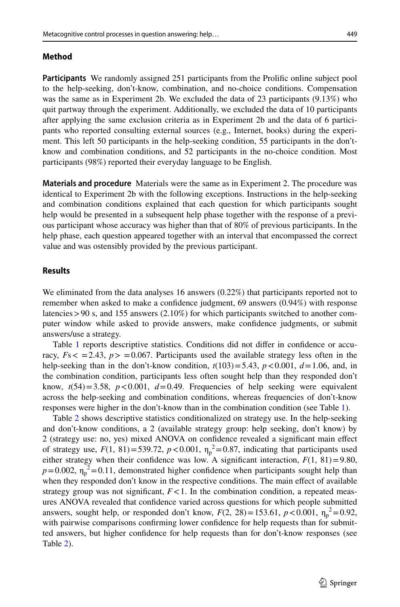#### **Method**

**Participants** We randomly assigned 251 participants from the Prolifc online subject pool to the help-seeking, don't-know, combination, and no-choice conditions. Compensation was the same as in Experiment 2b. We excluded the data of 23 participants (9.13%) who quit partway through the experiment. Additionally, we excluded the data of 10 participants after applying the same exclusion criteria as in Experiment 2b and the data of 6 participants who reported consulting external sources (e.g., Internet, books) during the experiment. This left 50 participants in the help-seeking condition, 55 participants in the don'tknow and combination conditions, and 52 participants in the no-choice condition. Most participants (98%) reported their everyday language to be English.

**Materials and procedure** Materials were the same as in Experiment 2. The procedure was identical to Experiment 2b with the following exceptions. Instructions in the help-seeking and combination conditions explained that each question for which participants sought help would be presented in a subsequent help phase together with the response of a previous participant whose accuracy was higher than that of 80% of previous participants. In the help phase, each question appeared together with an interval that encompassed the correct value and was ostensibly provided by the previous participant.

### **Results**

We eliminated from the data analyses 16 answers (0.22%) that participants reported not to remember when asked to make a confdence judgment, 69 answers (0.94%) with response latencies  $>90$  s, and 155 answers (2.10%) for which participants switched to another computer window while asked to provide answers, make confdence judgments, or submit answers/use a strategy.

Table [1](#page-9-0) reports descriptive statistics. Conditions did not difer in confdence or accuracy,  $Fs < 2.43$ ,  $p > 0.067$ . Participants used the available strategy less often in the help-seeking than in the don't-know condition,  $t(103) = 5.43$ ,  $p < 0.001$ ,  $d = 1.06$ , and, in the combination condition, participants less often sought help than they responded don't know,  $t(54)=3.58$ ,  $p < 0.001$ ,  $d=0.49$ . Frequencies of help seeking were equivalent across the help-seeking and combination conditions, whereas frequencies of don't-know responses were higher in the don't-know than in the combination condition (see Table [1\)](#page-9-0).

Table [2](#page-10-0) shows descriptive statistics conditionalized on strategy use. In the help-seeking and don't-know conditions, a 2 (available strategy group: help seeking, don't know) by 2 (strategy use: no, yes) mixed ANOVA on confdence revealed a signifcant main efect of strategy use,  $F(1, 81) = 539.72$ ,  $p < 0.001$ ,  $\eta_p^2 = 0.87$ , indicating that participants used either strategy when their confidence was low. A significant interaction,  $F(1, 81) = 9.80$ ,  $p=0.002$ ,  $\eta_p^2=0.11$ , demonstrated higher confidence when participants sought help than when they responded don't know in the respective conditions. The main effect of available strategy group was not significant,  $F < 1$ . In the combination condition, a repeated measures ANOVA revealed that confdence varied across questions for which people submitted answers, sought help, or responded don't know,  $F(2, 28) = 153.61$ ,  $p < 0.001$ ,  $\eta_p^2 = 0.92$ , with pairwise comparisons confrming lower confdence for help requests than for submitted answers, but higher confdence for help requests than for don't-know responses (see Table [2](#page-10-0)).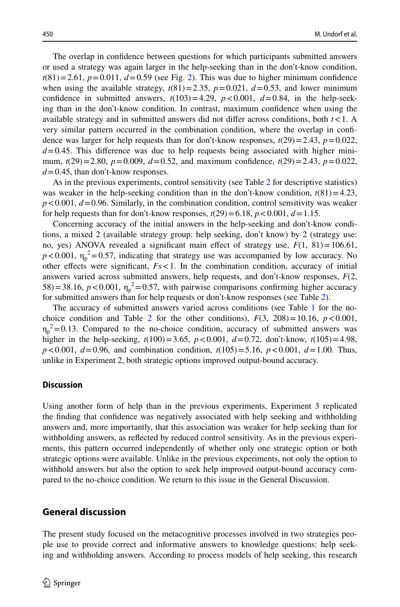The overlap in confdence between questions for which participants submitted answers or used a strategy was again larger in the help-seeking than in the don't-know condition,  $t(81)=2.61$ ,  $p=0.011$ ,  $d=0.59$  (see Fig. [2\)](#page-14-0). This was due to higher minimum confidence when using the available strategy,  $t(81)=2.35$ ,  $p=0.021$ ,  $d=0.53$ , and lower minimum confidence in submitted answers,  $t(103)=4.29$ ,  $p < 0.001$ ,  $d=0.84$ , in the help-seeking than in the don't-know condition. In contrast, maximum confdence when using the available strategy and in submitted answers did not difer across conditions, both *t*<1. A very similar pattern occurred in the combination condition, where the overlap in confdence was larger for help requests than for don't-know responses,  $t(29) = 2.43$ ,  $p = 0.022$ ,  $d=0.45$ . This difference was due to help requests being associated with higher minimum,  $t(29)=2.80$ ,  $p=0.009$ ,  $d=0.52$ , and maximum confidence,  $t(29)=2.43$ ,  $p=0.022$ , *d*=0.45, than don't-know responses.

As in the previous experiments, control sensitivity (see Table [2](#page-10-0) for descriptive statistics) was weaker in the help-seeking condition than in the don't-know condition,  $t(81)=4.23$ ,  $p < 0.001$ ,  $d = 0.96$ . Similarly, in the combination condition, control sensitivity was weaker for help requests than for don't-know responses,  $t(29) = 6.18$ ,  $p < 0.001$ ,  $d = 1.15$ .

Concerning accuracy of the initial answers in the help-seeking and don't-know conditions, a mixed 2 (available strategy group: help seeking, don't know) by 2 (strategy use: no, yes) ANOVA revealed a significant main effect of strategy use,  $F(1, 81) = 106.61$ ,  $p < 0.001$ ,  $\eta_p^2 = 0.57$ , indicating that strategy use was accompanied by low accuracy. No other effects were significant,  $Fs < 1$ . In the combination condition, accuracy of initial answers varied across submitted answers, help requests, and don't-know responses, *F*(2,  $(58) = 38.16$ ,  $p < 0.001$ ,  $\eta_p^2 = 0.57$ , with pairwise comparisons confirming higher accuracy for submitted answers than for help requests or don't-know responses (see Table [2\)](#page-10-0).

The accuracy of submitted answers varied across conditions (see Table [1](#page-9-0) for the no-choice condition and Table [2](#page-10-0) for the other conditions),  $F(3, 208) = 10.16$ ,  $p < 0.001$ ,  $\eta_p^2$  = 0.13. Compared to the no-choice condition, accuracy of submitted answers was higher in the help-seeking,  $t(100) = 3.65$ ,  $p < 0.001$ ,  $d = 0.72$ , don't-know,  $t(105) = 4.98$ , *p*<0.001, *d*=0.96, and combination condition, *t*(105)=5.16, *p*<0.001, *d*=1.00. Thus, unlike in Experiment 2, both strategic options improved output-bound accuracy.

#### **Discussion**

Using another form of help than in the previous experiments, Experiment 3 replicated the fnding that confdence was negatively associated with help seeking and withholding answers and, more importantly, that this association was weaker for help seeking than for withholding answers, as refected by reduced control sensitivity. As in the previous experiments, this pattern occurred independently of whether only one strategic option or both strategic options were available. Unlike in the previous experiments, not only the option to withhold answers but also the option to seek help improved output-bound accuracy compared to the no-choice condition. We return to this issue in the General Discussion.

### **General discussion**

The present study focused on the metacognitive processes involved in two strategies people use to provide correct and informative answers to knowledge questions: help seeking and withholding answers. According to process models of help seeking, this research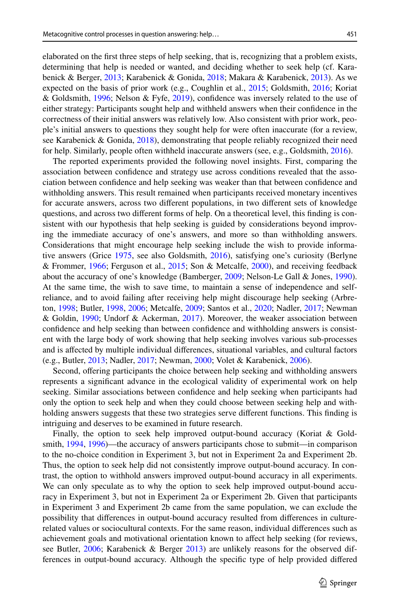elaborated on the frst three steps of help seeking, that is, recognizing that a problem exists, determining that help is needed or wanted, and deciding whether to seek help (cf. Karabenick & Berger, [2013;](#page-25-10) Karabenick & Gonida, [2018](#page-25-11); Makara & Karabenick, [2013\)](#page-26-9). As we expected on the basis of prior work (e.g., Coughlin et al., [2015](#page-24-4); Goldsmith, [2016;](#page-25-4) Koriat & Goldsmith, [1996;](#page-25-8) Nelson & Fyfe, [2019\)](#page-26-12), confdence was inversely related to the use of either strategy: Participants sought help and withheld answers when their confdence in the correctness of their initial answers was relatively low. Also consistent with prior work, people's initial answers to questions they sought help for were often inaccurate (for a review, see Karabenick & Gonida, [2018](#page-25-11)), demonstrating that people reliably recognized their need for help. Similarly, people often withheld inaccurate answers (see, e.g., Goldsmith, [2016](#page-25-4)).

The reported experiments provided the following novel insights. First, comparing the association between confdence and strategy use across conditions revealed that the association between confdence and help seeking was weaker than that between confdence and withholding answers. This result remained when participants received monetary incentives for accurate answers, across two diferent populations, in two diferent sets of knowledge questions, and across two diferent forms of help. On a theoretical level, this fnding is consistent with our hypothesis that help seeking is guided by considerations beyond improving the immediate accuracy of one's answers, and more so than withholding answers. Considerations that might encourage help seeking include the wish to provide informative answers (Grice [1975,](#page-25-0) see also Goldsmith, [2016](#page-25-4)), satisfying one's curiosity (Berlyne & Frommer, [1966;](#page-24-8) Ferguson et al., [2015;](#page-25-19) Son & Metcalfe, [2000](#page-27-11)), and receiving feedback about the accuracy of one's knowledge (Bamberger, [2009;](#page-24-9) Nelson-Le Gall & Jones, [1990](#page-26-10)). At the same time, the wish to save time, to maintain a sense of independence and selfreliance, and to avoid failing after receiving help might discourage help seeking (Arbreton, [1998;](#page-24-12) Butler, [1998,](#page-24-10) [2006;](#page-24-11) Metcalfe, [2009;](#page-26-16) Santos et al., [2020;](#page-27-13) Nadler, [2017](#page-26-7); Newman & Goldin, [1990](#page-27-8); Undorf & Ackerman, [2017](#page-27-14)). Moreover, the weaker association between confdence and help seeking than between confdence and withholding answers is consistent with the large body of work showing that help seeking involves various sub-processes and is afected by multiple individual diferences, situational variables, and cultural factors (e.g., Butler, [2013;](#page-24-3) Nadler, [2017;](#page-26-7) Newman, [2000;](#page-26-5) Volet & Karabenick, [2006](#page-27-6)).

Second, ofering participants the choice between help seeking and withholding answers represents a signifcant advance in the ecological validity of experimental work on help seeking. Similar associations between confdence and help seeking when participants had only the option to seek help and when they could choose between seeking help and withholding answers suggests that these two strategies serve diferent functions. This fnding is intriguing and deserves to be examined in future research.

Finally, the option to seek help improved output-bound accuracy (Koriat & Goldsmith, [1994,](#page-25-7) [1996\)](#page-25-8)—the accuracy of answers participants chose to submit—in comparison to the no-choice condition in Experiment 3, but not in Experiment 2a and Experiment 2b. Thus, the option to seek help did not consistently improve output-bound accuracy. In contrast, the option to withhold answers improved output-bound accuracy in all experiments. We can only speculate as to why the option to seek help improved output-bound accuracy in Experiment 3, but not in Experiment 2a or Experiment 2b. Given that participants in Experiment 3 and Experiment 2b came from the same population, we can exclude the possibility that diferences in output-bound accuracy resulted from diferences in culturerelated values or sociocultural contexts. For the same reason, individual diferences such as achievement goals and motivational orientation known to afect help seeking (for reviews, see Butler, [2006;](#page-24-11) Karabenick & Berger [2013](#page-25-10)) are unlikely reasons for the observed differences in output-bound accuracy. Although the specifc type of help provided difered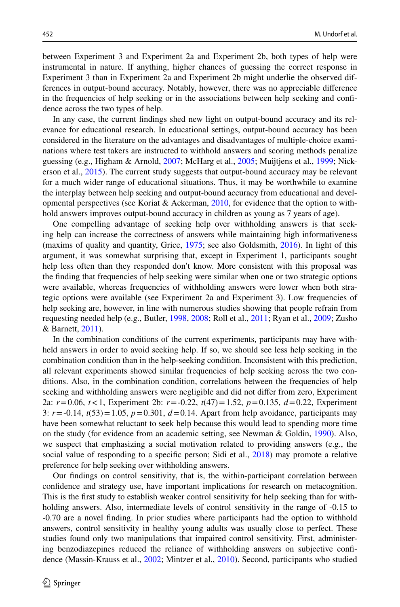between Experiment 3 and Experiment 2a and Experiment 2b, both types of help were instrumental in nature. If anything, higher chances of guessing the correct response in Experiment 3 than in Experiment 2a and Experiment 2b might underlie the observed differences in output-bound accuracy. Notably, however, there was no appreciable diference in the frequencies of help seeking or in the associations between help seeking and confdence across the two types of help.

In any case, the current fndings shed new light on output-bound accuracy and its relevance for educational research. In educational settings, output-bound accuracy has been considered in the literature on the advantages and disadvantages of multiple-choice examinations where test takers are instructed to withhold answers and scoring methods penalize guessing (e.g., Higham & Arnold, [2007](#page-25-18); McHarg et al., [2005](#page-26-14); Muijtjens et al., [1999](#page-26-15); Nickerson et al., [2015](#page-27-1)). The current study suggests that output-bound accuracy may be relevant for a much wider range of educational situations. Thus, it may be worthwhile to examine the interplay between help seeking and output-bound accuracy from educational and developmental perspectives (see Koriat & Ackerman,  $2010$ , for evidence that the option to withhold answers improves output-bound accuracy in children as young as 7 years of age).

One compelling advantage of seeking help over withholding answers is that seeking help can increase the correctness of answers while maintaining high informativeness (maxims of quality and quantity, Grice, [1975;](#page-25-0) see also Goldsmith, [2016](#page-25-4)). In light of this argument, it was somewhat surprising that, except in Experiment 1, participants sought help less often than they responded don't know. More consistent with this proposal was the fnding that frequencies of help seeking were similar when one or two strategic options were available, whereas frequencies of withholding answers were lower when both strategic options were available (see Experiment 2a and Experiment 3). Low frequencies of help seeking are, however, in line with numerous studies showing that people refrain from requesting needed help (e.g., Butler, [1998](#page-24-10), [2008](#page-24-16); Roll et al., [2011;](#page-27-18) Ryan et al., [2009;](#page-27-12) Zusho & Barnett, [2011](#page-27-19)).

In the combination conditions of the current experiments, participants may have withheld answers in order to avoid seeking help. If so, we should see less help seeking in the combination condition than in the help-seeking condition. Inconsistent with this prediction, all relevant experiments showed similar frequencies of help seeking across the two conditions. Also, in the combination condition, correlations between the frequencies of help seeking and withholding answers were negligible and did not difer from zero, Experiment 2a: *r*=0.06, *t*<1, Experiment 2b: *r*=-0.22, *t*(47)=1.52, *p*=0.135, *d*=0.22, Experiment 3:  $r = -0.14$ ,  $t(53) = 1.05$ ,  $p = 0.301$ ,  $d = 0.14$ . Apart from help avoidance, participants may have been somewhat reluctant to seek help because this would lead to spending more time on the study (for evidence from an academic setting, see Newman & Goldin, [1990](#page-27-8)). Also, we suspect that emphasizing a social motivation related to providing answers (e.g., the social value of responding to a specific person; Sidi et al., [2018](#page-27-17)) may promote a relative preference for help seeking over withholding answers.

Our fndings on control sensitivity, that is, the within-participant correlation between confdence and strategy use, have important implications for research on metacognition. This is the frst study to establish weaker control sensitivity for help seeking than for withholding answers. Also, intermediate levels of control sensitivity in the range of  $-0.15$  to -0.70 are a novel fnding. In prior studies where participants had the option to withhold answers, control sensitivity in healthy young adults was usually close to perfect. These studies found only two manipulations that impaired control sensitivity. First, administering benzodiazepines reduced the reliance of withholding answers on subjective confdence (Massin-Krauss et al., [2002](#page-26-18); Mintzer et al., [2010\)](#page-26-19). Second, participants who studied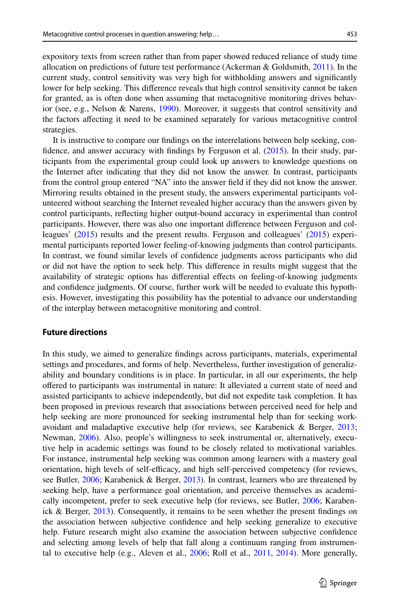expository texts from screen rather than from paper showed reduced reliance of study time allocation on predictions of future test performance (Ackerman & Goldsmith, [2011\)](#page-24-17). In the current study, control sensitivity was very high for withholding answers and signifcantly lower for help seeking. This diference reveals that high control sensitivity cannot be taken for granted, as is often done when assuming that metacognitive monitoring drives behavior (see, e.g., Nelson & Narens, [1990](#page-26-20)). Moreover, it suggests that control sensitivity and the factors afecting it need to be examined separately for various metacognitive control strategies.

It is instructive to compare our fndings on the interrelations between help seeking, confdence, and answer accuracy with fndings by Ferguson et al. ([2015\)](#page-25-19). In their study, participants from the experimental group could look up answers to knowledge questions on the Internet after indicating that they did not know the answer. In contrast, participants from the control group entered "NA" into the answer feld if they did not know the answer. Mirroring results obtained in the present study, the answers experimental participants volunteered without searching the Internet revealed higher accuracy than the answers given by control participants, refecting higher output-bound accuracy in experimental than control participants. However, there was also one important diference between Ferguson and colleagues' ([2015\)](#page-25-19) results and the present results. Ferguson and colleagues' ([2015\)](#page-25-19) experimental participants reported lower feeling-of-knowing judgments than control participants. In contrast, we found similar levels of confdence judgments across participants who did or did not have the option to seek help. This diference in results might suggest that the availability of strategic options has diferential efects on feeling-of-knowing judgments and confdence judgments. Of course, further work will be needed to evaluate this hypothesis. However, investigating this possibility has the potential to advance our understanding of the interplay between metacognitive monitoring and control.

### **Future directions**

In this study, we aimed to generalize fndings across participants, materials, experimental settings and procedures, and forms of help. Nevertheless, further investigation of generalizability and boundary conditions is in place. In particular, in all our experiments, the help ofered to participants was instrumental in nature: It alleviated a current state of need and assisted participants to achieve independently, but did not expedite task completion. It has been proposed in previous research that associations between perceived need for help and help seeking are more pronounced for seeking instrumental help than for seeking workavoidant and maladaptive executive help (for reviews, see Karabenick & Berger, [2013;](#page-25-10) Newman, [2006\)](#page-26-21). Also, people's willingness to seek instrumental or, alternatively, executive help in academic settings was found to be closely related to motivational variables. For instance, instrumental help seeking was common among learners with a mastery goal orientation, high levels of self-efficacy, and high self-perceived competency (for reviews, see Butler, [2006](#page-24-11); Karabenick & Berger, [2013](#page-25-10)). In contrast, learners who are threatened by seeking help, have a performance goal orientation, and perceive themselves as academically incompetent, prefer to seek executive help (for reviews, see Butler, [2006](#page-24-11); Karabenick & Berger, [2013](#page-25-10)). Consequently, it remains to be seen whether the present fndings on the association between subjective confdence and help seeking generalize to executive help. Future research might also examine the association between subjective confdence and selecting among levels of help that fall along a continuum ranging from instrumental to executive help (e.g., Aleven et al., [2006;](#page-24-18) Roll et al., [2011,](#page-27-18) [2014\)](#page-27-20). More generally,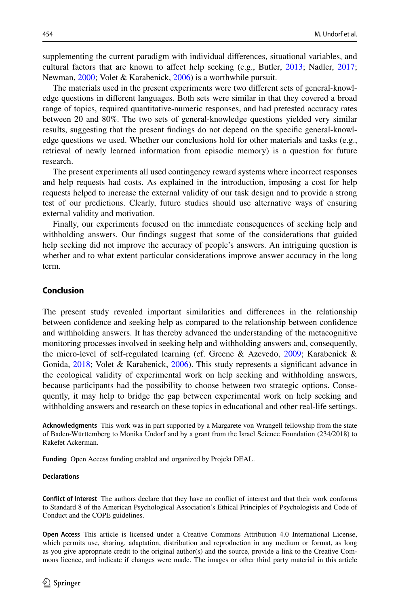supplementing the current paradigm with individual diferences, situational variables, and cultural factors that are known to afect help seeking (e.g., Butler, [2013;](#page-24-3) Nadler, [2017;](#page-26-7) Newman, [2000;](#page-26-5) Volet & Karabenick, [2006](#page-27-6)) is a worthwhile pursuit.

The materials used in the present experiments were two diferent sets of general-knowledge questions in diferent languages. Both sets were similar in that they covered a broad range of topics, required quantitative-numeric responses, and had pretested accuracy rates between 20 and 80%. The two sets of general-knowledge questions yielded very similar results, suggesting that the present fndings do not depend on the specifc general-knowledge questions we used. Whether our conclusions hold for other materials and tasks (e.g., retrieval of newly learned information from episodic memory) is a question for future research.

The present experiments all used contingency reward systems where incorrect responses and help requests had costs. As explained in the introduction, imposing a cost for help requests helped to increase the external validity of our task design and to provide a strong test of our predictions. Clearly, future studies should use alternative ways of ensuring external validity and motivation.

Finally, our experiments focused on the immediate consequences of seeking help and withholding answers. Our fndings suggest that some of the considerations that guided help seeking did not improve the accuracy of people's answers. An intriguing question is whether and to what extent particular considerations improve answer accuracy in the long term.

# **Conclusion**

The present study revealed important similarities and diferences in the relationship between confdence and seeking help as compared to the relationship between confdence and withholding answers. It has thereby advanced the understanding of the metacognitive monitoring processes involved in seeking help and withholding answers and, consequently, the micro-level of self-regulated learning (cf. Greene & Azevedo, [2009](#page-25-15); Karabenick & Gonida, [2018](#page-25-11); Volet & Karabenick, [2006](#page-27-6)). This study represents a significant advance in the ecological validity of experimental work on help seeking and withholding answers, because participants had the possibility to choose between two strategic options. Consequently, it may help to bridge the gap between experimental work on help seeking and withholding answers and research on these topics in educational and other real-life settings.

**Acknowledgments** This work was in part supported by a Margarete von Wrangell fellowship from the state of Baden-Württemberg to Monika Undorf and by a grant from the Israel Science Foundation (234/2018) to Rakefet Ackerman.

**Funding** Open Access funding enabled and organized by Projekt DEAL.

#### **Declarations**

**Confict of Interest** The authors declare that they have no confict of interest and that their work conforms to Standard 8 of the American Psychological Association's Ethical Principles of Psychologists and Code of Conduct and the COPE guidelines.

**Open Access** This article is licensed under a Creative Commons Attribution 4.0 International License, which permits use, sharing, adaptation, distribution and reproduction in any medium or format, as long as you give appropriate credit to the original author(s) and the source, provide a link to the Creative Commons licence, and indicate if changes were made. The images or other third party material in this article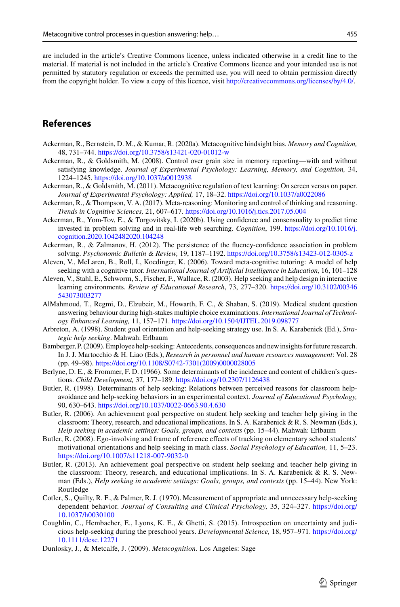are included in the article's Creative Commons licence, unless indicated otherwise in a credit line to the material. If material is not included in the article's Creative Commons licence and your intended use is not permitted by statutory regulation or exceeds the permitted use, you will need to obtain permission directly from the copyright holder. To view a copy of this licence, visit [http://creativecommons.org/licenses/by/4.0/.](http://creativecommons.org/licenses/by/4.0/)

# **References**

- <span id="page-24-13"></span>Ackerman, R., Bernstein, D. M., & Kumar, R. (2020a). Metacognitive hindsight bias. *Memory and Cognition,* 48, 731–744. <https://doi.org/10.3758/s13421-020-01012-w>
- <span id="page-24-2"></span>Ackerman, R., & Goldsmith, M. (2008). Control over grain size in memory reporting—with and without satisfying knowledge. *Journal of Experimental Psychology: Learning, Memory, and Cognition,* 34, 1224–1245. <https://doi.org/10.1037/a0012938>
- <span id="page-24-17"></span>Ackerman, R., & Goldsmith, M. (2011). Metacognitive regulation of text learning: On screen versus on paper. *Journal of Experimental Psychology: Applied,* 17, 18–32. <https://doi.org/10.1037/a0022086>
- <span id="page-24-6"></span>Ackerman, R., & Thompson, V. A. (2017). Meta-reasoning: Monitoring and control of thinking and reasoning. *Trends in Cognitive Sciences,* 21, 607–617. <https://doi.org/10.1016/j.tics.2017.05.004>
- <span id="page-24-14"></span>Ackerman, R., Yom-Tov, E., & Torgovitsky, I. (2020b). Using confdence and consensuality to predict time invested in problem solving and in real-life web searching. *Cognition*, 199. [https://doi.org/10.1016/j.](https://doi.org/10.1016/j.cognition.2020.1042482020.104248) [cognition.2020.1042482020.104248](https://doi.org/10.1016/j.cognition.2020.1042482020.104248)
- <span id="page-24-15"></span>Ackerman, R., & Zalmanov, H. (2012). The persistence of the fuency-confdence association in problem solving. *Psychonomic Bulletin & Review,* 19, 1187–1192. <https://doi.org/10.3758/s13423-012-0305-z>
- <span id="page-24-18"></span>Aleven, V., McLaren, B., Roll, I., Koedinger, K. (2006). Toward meta-cognitive tutoring: A model of help seeking with a cognitive tutor. *International Journal of Artifcial Intelligence in Education*, 16, 101–128
- <span id="page-24-5"></span>Aleven, V., Stahl, E., Schworm, S., Fischer, F., Wallace, R. (2003). Help seeking and help design in interactive learning environments. *Review of Educational Research*, 73, 277–320. [https://doi.org/10.3102/00346](https://doi.org/10.3102/00346543073003277) [543073003277](https://doi.org/10.3102/00346543073003277)
- <span id="page-24-0"></span>AlMahmoud, T., Regmi, D., Elzubeir, M., Howarth, F. C., & Shaban, S. (2019). Medical student question answering behaviour during high-stakes multiple choice examinations. *International Journal of Technology Enhanced Learning,* 11, 157–171. <https://doi.org/10.1504/IJTEL.2019.098777>
- <span id="page-24-12"></span>Arbreton, A. (1998). Student goal orientation and help-seeking strategy use. In S. A. Karabenick (Ed.), *Strategic help seeking*. Mahwah: Erlbaum
- <span id="page-24-9"></span>Bamberger, P. (2009). Employee help-seeking: Antecedents, consequences and new insights for future research. In J. J. Martocchio & H. Liao (Eds.), *Research in personnel and human resources management*: Vol. 28 (pp. 49–98). [https://doi.org/10.1108/S0742-7301\(2009\)0000028005](https://doi.org/10.1108/S0742-7301(2009)0000028005)
- <span id="page-24-8"></span>Berlyne, D. E., & Frommer, F. D. (1966). Some determinants of the incidence and content of children's questions. *Child Development,* 37, 177–189.<https://doi.org/10.2307/1126438>
- <span id="page-24-10"></span>Butler, R. (1998). Determinants of help seeking: Relations between perceived reasons for classroom helpavoidance and help-seeking behaviors in an experimental context. *Journal of Educational Psychology,* 90, 630–643. <https://doi.org/10.1037/0022-0663.90.4.630>
- <span id="page-24-11"></span>Butler, R. (2006). An achievement goal perspective on student help seeking and teacher help giving in the classroom: Theory, research, and educational implications. In S. A. Karabenick & R. S. Newman (Eds.), *Help seeking in academic settings: Goals, groups, and contexts* (pp. 15–44). Mahwah: Erlbaum
- <span id="page-24-16"></span>Butler, R. (2008). Ego-involving and frame of reference efects of tracking on elementary school students' motivational orientations and help seeking in math class. *Social Psychology of Education,* 11, 5–23. <https://doi.org/10.1007/s11218-007-9032-0>
- <span id="page-24-3"></span>Butler, R. (2013). An achievement goal perspective on student help seeking and teacher help giving in the classroom: Theory, research, and educational implications. In S. A. Karabenick & R. S. Newman (Eds.), *Help seeking in academic settings: Goals, groups, and contexts* (pp. 15–44). New York: Routledge
- <span id="page-24-7"></span>Cotler, S., Quilty, R. F., & Palmer, R. J. (1970). Measurement of appropriate and unnecessary help-seeking dependent behavior. *Journal of Consulting and Clinical Psychology,* 35, 324–327. [https://doi.org/](https://doi.org/10.1037/h0030100) [10.1037/h0030100](https://doi.org/10.1037/h0030100)
- <span id="page-24-4"></span>Coughlin, C., Hembacher, E., Lyons, K. E., & Ghetti, S. (2015). Introspection on uncertainty and judicious help-seeking during the preschool years. *Developmental Science,* 18, 957–971. [https://doi.org/](https://doi.org/10.1111/desc.12271) [10.1111/desc.12271](https://doi.org/10.1111/desc.12271)
- <span id="page-24-1"></span>Dunlosky, J., & Metcalfe, J. (2009). *Metacognition*. Los Angeles: Sage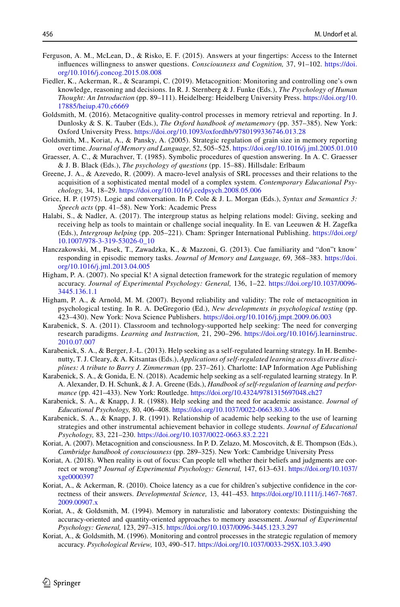- <span id="page-25-19"></span>Ferguson, A. M., McLean, D., & Risko, E. F. (2015). Answers at your fngertips: Access to the Internet infuences willingness to answer questions. *Consciousness and Cognition,* 37, 91–102. [https://doi.](https://doi.org/10.1016/j.concog.2015.08.008) [org/10.1016/j.concog.2015.08.008](https://doi.org/10.1016/j.concog.2015.08.008)
- <span id="page-25-2"></span>Fiedler, K., Ackerman, R., & Scarampi, C. (2019). Metacognition: Monitoring and controlling one's own knowledge, reasoning and decisions. In R. J. Sternberg & J. Funke (Eds.), *The Psychology of Human Thought: An Introduction* (pp. 89–111). Heidelberg: Heidelberg University Press. [https://doi.org/10.](https://doi.org/10.17885/heiup.470.c6669) [17885/heiup.470.c6669](https://doi.org/10.17885/heiup.470.c6669)
- <span id="page-25-4"></span>Goldsmith, M. (2016). Metacognitive quality-control processes in memory retrieval and reporting. In J. Dunlosky & S. K. Tauber (Eds.), *The Oxford handbook of metamemory* (pp. 357–385). New York: Oxford University Press. <https://doi.org/10.1093/oxfordhb/9780199336746.013.28>
- <span id="page-25-9"></span>Goldsmith, M., Koriat, A., & Pansky, A. (2005). Strategic regulation of grain size in memory reporting over time. *Journal of Memory and Language,* 52, 505–525.<https://doi.org/10.1016/j.jml.2005.01.010>
- <span id="page-25-1"></span>Graesser, A. C., & Murachver, T. (1985). Symbolic procedures of question answering. In A. C. Graesser & J. B. Black (Eds.), *The psychology of questions* (pp. 15–88). Hillsdale: Erlbaum
- <span id="page-25-15"></span>Greene, J. A., & Azevedo, R. (2009). A macro-level analysis of SRL processes and their relations to the acquisition of a sophisticated mental model of a complex system. *Contemporary Educational Psychology,* 34, 18–29. <https://doi.org/10.1016/j.cedpsych.2008.05.006>
- <span id="page-25-0"></span>Grice, H. P. (1975). Logic and conversation. In P. Cole & J. L. Morgan (Eds.), *Syntax and Semantics 3: Speech acts* (pp. 41–58). New York: Academic Press
- <span id="page-25-14"></span>Halabi, S., & Nadler, A. (2017). The intergroup status as helping relations model: Giving, seeking and receiving help as tools to maintain or challenge social inequality. In E. van Leeuwen & H. Zagefka (Eds.), *Intergroup helping* (pp. 205–221). Cham: Springer International Publishing. [https://doi.org/](https://doi.org/10.1007/978-3-319-53026-0_10) [10.1007/978-3-319-53026-0\\_10](https://doi.org/10.1007/978-3-319-53026-0_10)
- <span id="page-25-5"></span>Hanczakowski, M., Pasek, T., Zawadzka, K., & Mazzoni, G. (2013). Cue familiarity and "don"t know' responding in episodic memory tasks. *Journal of Memory and Language,* 69, 368–383. [https://doi.](https://doi.org/10.1016/j.jml.2013.04.005) [org/10.1016/j.jml.2013.04.005](https://doi.org/10.1016/j.jml.2013.04.005)
- <span id="page-25-6"></span>Higham, P. A. (2007). No special K! A signal detection framework for the strategic regulation of memory accuracy. *Journal of Experimental Psychology: General,* 136, 1–22. [https://doi.org/10.1037/0096-](https://doi.org/10.1037/0096-3445.136.1.1) [3445.136.1.1](https://doi.org/10.1037/0096-3445.136.1.1)
- <span id="page-25-18"></span>Higham, P. A., & Arnold, M. M. (2007). Beyond reliability and validity: The role of metacognition in psychological testing. In R. A. DeGregorio (Ed.), *New developments in psychological testing* (pp. 423–430). New York: Nova Science Publishers. <https://doi.org/10.1016/j.jmpt.2009.06.003>
- <span id="page-25-13"></span>Karabenick, S. A. (2011). Classroom and technology-supported help seeking: The need for converging research paradigms. *Learning and Instruction,* 21, 290–296. [https://doi.org/10.1016/j.learninstruc.](https://doi.org/10.1016/j.learninstruc.2010.07.007) [2010.07.007](https://doi.org/10.1016/j.learninstruc.2010.07.007)
- <span id="page-25-10"></span>Karabenick, S. A., & Berger, J.-L. (2013). Help seeking as a self-regulated learning strategy. In H. Bembenutty, T. J. Cleary, & A. Kitsantas (Eds.), *Applications of self-regulated learning across diverse disciplines: A tribute to Barry J. Zimmerman* (pp. 237–261). Charlotte: IAP Information Age Publishing
- <span id="page-25-11"></span>Karabenick, S. A., & Gonida, E. N. (2018). Academic help seeking as a self-regulated learning strategy. In P. A. Alexander, D. H. Schunk, & J. A. Greene (Eds.), *Handbook of self-regulation of learning and performance* (pp. 421–433). New York: Routledge.<https://doi.org/10.4324/9781315697048.ch27>
- <span id="page-25-16"></span>Karabenick, S. A., & Knapp, J. R. (1988). Help seeking and the need for academic assistance. *Journal of Educational Psychology,* 80, 406–408.<https://doi.org/10.1037/0022-0663.80.3.406>
- <span id="page-25-12"></span>Karabenick, S. A., & Knapp, J. R. (1991). Relationship of academic help seeking to the use of learning strategies and other instrumental achievement behavior in college students. *Journal of Educational Psychology,* 83, 221–230.<https://doi.org/10.1037/0022-0663.83.2.221>
- <span id="page-25-3"></span>Koriat, A. (2007). Metacognition and consciousness. In P. D. Zelazo, M. Moscovitch, & E. Thompson (Eds.), *Cambridge handbook of consciousness* (pp. 289–325). New York: Cambridge University Press
- <span id="page-25-20"></span>Koriat, A. (2018). When reality is out of focus: Can people tell whether their beliefs and judgments are correct or wrong? *Journal of Experimental Psychology: General,* 147, 613–631. [https://doi.org/10.1037/](https://doi.org/10.1037/xge0000397) [xge0000397](https://doi.org/10.1037/xge0000397)
- <span id="page-25-17"></span>Koriat, A., & Ackerman, R. (2010). Choice latency as a cue for children's subjective confdence in the correctness of their answers. *Developmental Science,* 13, 441–453. [https://doi.org/10.1111/j.1467-7687.](https://doi.org/10.1111/j.1467-7687.2009.00907.x) [2009.00907.x](https://doi.org/10.1111/j.1467-7687.2009.00907.x)
- <span id="page-25-7"></span>Koriat, A., & Goldsmith, M. (1994). Memory in naturalistic and laboratory contexts: Distinguishing the accuracy-oriented and quantity-oriented approaches to memory assessment. *Journal of Experimental Psychology: General,* 123, 297–315.<https://doi.org/10.1037/0096-3445.123.3.297>
- <span id="page-25-8"></span>Koriat, A., & Goldsmith, M. (1996). Monitoring and control processes in the strategic regulation of memory accuracy. *Psychological Review,* 103, 490–517.<https://doi.org/10.1037/0033-295X.103.3.490>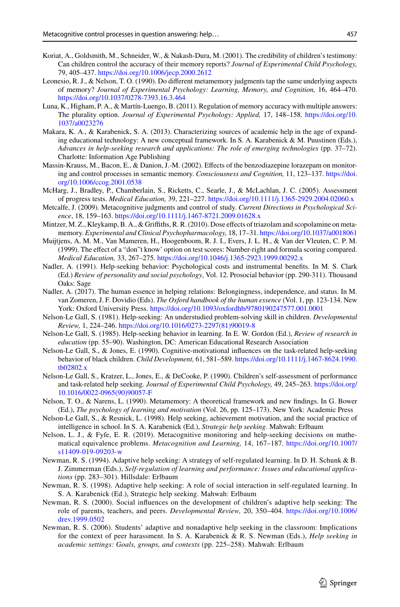- <span id="page-26-13"></span>Koriat, A., Goldsmith, M., Schneider, W., & Nakash-Dura, M. (2001). The credibility of children's testimony: Can children control the accuracy of their memory reports? *Journal of Experimental Child Psychology,* 79, 405–437. <https://doi.org/10.1006/jecp.2000.2612>
- <span id="page-26-17"></span>Leonesio, R. J., & Nelson, T. O. (1990). Do diferent metamemory judgments tap the same underlying aspects of memory? *Journal of Experimental Psychology: Learning, Memory, and Cognition,* 16, 464–470. <https://doi.org/10.1037/0278-7393.16.3.464>
- <span id="page-26-0"></span>Luna, K., Higham, P. A., & Martín-Luengo, B. (2011). Regulation of memory accuracy with multiple answers: The plurality option. *Journal of Experimental Psychology: Applied,* 17, 148–158. [https://doi.org/10.](https://doi.org/10.1037/a0023276) [1037/a0023276](https://doi.org/10.1037/a0023276)
- <span id="page-26-9"></span>Makara, K. A., & Karabenick, S. A. (2013). Characterizing sources of academic help in the age of expanding educational technology: A new conceptual framework. In S. A. Karabenick & M. Puustinen (Eds.), *Advances in help-seeking research and applications: The role of emerging technologies* (pp. 37–72). Charlotte: Information Age Publishing
- <span id="page-26-18"></span>Massin-Krauss, M., Bacon, E., & Danion, J.-M. (2002). Efects of the benzodiazepine lorazepam on monitoring and control processes in semantic memory. *Consciousness and Cognition,* 11, 123–137. [https://doi.](https://doi.org/10.1006/ccog.2001.0538) [org/10.1006/ccog.2001.0538](https://doi.org/10.1006/ccog.2001.0538)
- <span id="page-26-14"></span>McHarg, J., Bradley, P., Chamberlain, S., Ricketts, C., Searle, J., & McLachlan, J. C. (2005). Assessment of progress tests. *Medical Education,* 39, 221–227. <https://doi.org/10.1111/j.1365-2929.2004.02060.x>
- <span id="page-26-16"></span>Metcalfe, J. (2009). Metacognitive judgments and control of study. *Current Directions in Psychological Science*, 18, 159–163.<https://doi.org/10.1111/j.1467-8721.2009.01628.x>
- <span id="page-26-19"></span>Mintzer, M. Z., Kleykamp, B. A., & Griffiths, R. R. (2010). Dose effects of triazolam and scopolamine on metamemory. *Experimental and Clinical Psychopharmacology,* 18, 17–31.<https://doi.org/10.1037/a0018061>
- <span id="page-26-15"></span>Muijtjens, A. M. M., Van Mameren, H., Hoogenboom, R. J. I., Evers, J. L. H., & Van der Vleuten, C. P. M. (1999). The efect of a "don"t know' option on test scores: Number-right and formula scoring compared. *Medical Education,* 33, 267–275. <https://doi.org/10.1046/j.1365-2923.1999.00292.x>
- <span id="page-26-6"></span>Nadler, A. (1991). Help-seeking behavior: Psychological costs and instrumental benefts. In M. S. Clark (Ed.) *Review of personality and social psychology*, Vol. 12. Prosocial behavior (pp. 290-311). Thousand Oaks: Sage
- <span id="page-26-7"></span>Nadler, A. (2017). The human essence in helping relations: Belongingness, independence, and status. In M. van Zomeren, J. F. Dovidio (Eds). *The Oxford handbook of the human essence* (Vol. 1, pp. 123-134. New York: Oxford University Press. <https://doi.org/10.1093/oxfordhb/9780190247577.001.0001>
- <span id="page-26-2"></span>Nelson-Le Gall, S. (1981). Help-seeking: An understudied problem-solving skill in children. *Developmental Review,* 1, 224–246. [https://doi.org/10.1016/0273-2297\(81\)90019-8](https://doi.org/10.1016/0273-2297(81)90019-8)
- <span id="page-26-8"></span>Nelson-Le Gall, S. (1985). Help-seeking behavior in learning. In E. W. Gordon (Ed.), *Review of research in education* (pp. 55–90). Washington, DC: American Educational Research Association
- <span id="page-26-10"></span>Nelson-Le Gall, S., & Jones, E. (1990). Cognitive-motivational infuences on the task-related help-seeking behavior of black children. *Child Development,* 61, 581–589. [https://doi.org/10.1111/j.1467-8624.1990.](https://doi.org/10.1111/j.1467-8624.1990.tb02802.x) [tb02802.x](https://doi.org/10.1111/j.1467-8624.1990.tb02802.x)
- <span id="page-26-11"></span>Nelson-Le Gall, S., Kratzer, L., Jones, E., & DeCooke, P. (1990). Children's self-assessment of performance and task-related help seeking. *Journal of Experimental Child Psychology,* 49, 245–263. [https://doi.org/](https://doi.org/10.1016/0022-0965(90)90057-F) [10.1016/0022-0965\(90\)90057-F](https://doi.org/10.1016/0022-0965(90)90057-F)
- <span id="page-26-20"></span>Nelson, T. O., & Narens, L. (1990). Metamemory: A theoretical framework and new fndings. In G. Bower (Ed.), *The psychology of learning and motivation* (Vol. 26, pp. 125–173). New York: Academic Press
- <span id="page-26-1"></span>Nelson-Le Gall, S., & Resnick, L. (1998). Help seeking, achievement motivation, and the social practice of intelligence in school. In S. A. Karabenick (Ed.), *Strategic help seeking*. Mahwah: Erlbaum
- <span id="page-26-12"></span>Nelson, L. J., & Fyfe, E. R. (2019). Metacognitive monitoring and help-seeking decisions on mathematical equivalence problems. *Metacognition and Learning,* 14, 167–187. [https://doi.org/10.1007/](https://doi.org/10.1007/s11409-019-09203-w) [s11409-019-09203-w](https://doi.org/10.1007/s11409-019-09203-w)
- <span id="page-26-3"></span>Newman, R. S. (1994). Adaptive help seeking: A strategy of self-regulated learning. In D. H. Schunk & B. J. Zimmerman (Eds.), *Self-regulation of learning and performance: Issues and educational applications* (pp. 283–301). Hillsdale: Erlbaum
- <span id="page-26-4"></span>Newman, R. S. (1998). Adaptive help seeking: A role of social interaction in self-regulated learning. In S. A. Karabenick (Ed.), Strategic help seeking. Mahwah: Erlbaum
- <span id="page-26-5"></span>Newman, R. S. (2000). Social infuences on the development of children's adaptive help seeking: The role of parents, teachers, and peers. *Developmental Review,* 20, 350–404. [https://doi.org/10.1006/](https://doi.org/10.1006/drev.1999.0502) [drev.1999.0502](https://doi.org/10.1006/drev.1999.0502)
- <span id="page-26-21"></span>Newman, R. S. (2006). Students' adaptive and nonadaptive help seeking in the classroom: Implications for the context of peer harassment. In S. A. Karabenick & R. S. Newman (Eds.), *Help seeking in academic settings: Goals, groups, and contexts* (pp. 225–258). Mahwah: Erlbaum